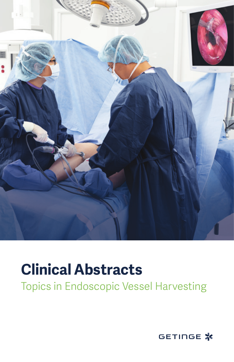

## **Clinical Abstracts**

Topics in Endoscopic Vessel Harvesting

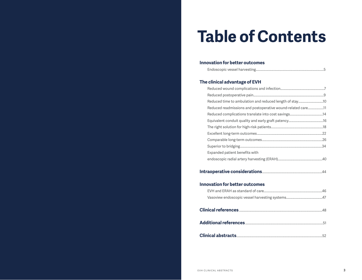# **Table of Contents**

#### **Innovation for better outcomes**

#### **The clinical advantage of EVH**

| Reduced readmissions and postoperative wound-related care11 |  |
|-------------------------------------------------------------|--|
|                                                             |  |
|                                                             |  |
|                                                             |  |
|                                                             |  |
|                                                             |  |
|                                                             |  |
| Expanded patient benefits with                              |  |
|                                                             |  |
|                                                             |  |

#### **Intraoperative considerations**.........................................................................44

#### **Innovation for better outcomes**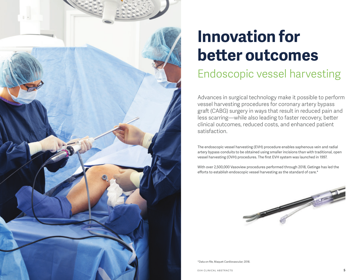

# **Innovation for better outcomes**

## Endoscopic vessel harvesting

Advances in surgical technology make it possible to perform vessel harvesting procedures for coronary artery bypass graft (CABG) surgery in ways that result in reduced pain and less scarring—while also leading to faster recovery, better clinical outcomes, reduced costs, and enhanced patient satisfaction.

The endoscopic vessel harvesting (EVH) procedure enables saphenous vein and radial artery bypass conduits to be obtained using smaller incisions than with traditional, open vessel harvesting (OVH) procedures. The first EVH system was launched in 1997.

With over 2,500,000 Vasoview procedures performed through 2018, Getinge has led the efforts to establish endoscopic vessel harvesting as the standard of care.\*



\*Data on file, Maquet Cardiovascular; 2018.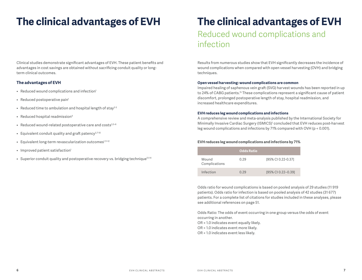Clinical studies demonstrate significant advantages of EVH. These patient benefits and advantages in cost savings are obtained without sacrificing conduit quality or longterm clinical outcomes.

#### **The advantages of EVH**

- Reduced wound complications and infection<sup>1</sup>
- $\bullet$  Reduced postoperative pain<sup>1</sup>
- Reduced time to ambulation and hospital length of stay<sup>2-3</sup>
- Reduced hospital readmission<sup>4</sup>
- $\bullet$  Reduced wound-related postoperative care and costs<sup>3,5-6</sup>
- Equivalent conduit quality and graft patency<sup>3,7-10</sup>
- Equivalent long-term revascularization outcomes<sup>1,11-12</sup>
- Improved patient satisfaction<sup>1</sup>
- Superior conduit quality and postoperative recovery vs. bridging technique<sup>13-14</sup>

## **The clinical advantages of EVH**

Reduced wound complications and infection

Results from numerous studies show that EVH significantly decreases the incidence of wound complications when compared with open vessel harvesting (OVH) and bridging techniques.

#### **Open vessel harvesting: wound complications are common**

Impaired healing of saphenous vein graft (SVG) harvest wounds has been reported in up to 24% of CABG patients.<sup>15</sup> These complications represent a significant cause of patient discomfort, prolonged postoperative length of stay, hospital readmission, and increased healthcare expenditures.

#### **EVH reduces leg wound complications and infections**

A comprehensive review and meta-analysis published by the International Society for Minimally Invasive Cardiac Surgery (ISMICS)<sup>1</sup> concluded that EVH reduces post-harvest leg wound complications and infections by 71% compared with OVH (p < 0.001).

#### **EVH reduces leg wound complications and infections by 71%**

|                        | Odds Ratio |                    |
|------------------------|------------|--------------------|
| Wound<br>Complications | 0.29       | [95% CI 0.22-0.37] |
| Infection              | 0.29       | [95% CI 0.22-0.39] |

Odds ratio for wound complications is based on pooled analysis of 29 studies (11 919 patients). Odds ratio for infection is based on pooled analysis of 42 studies (31 677) patients. For a complete list of citations for studies included in these analyses, please see additional references on page 51.

Odds Ratio: The odds of event occurring in one group versus the odds of event occurring in another.

OR = 1.0 indicates event equally likely.

- OR > 1.0 indicates event more likely.
- OR < 1.0 indicates event less likely.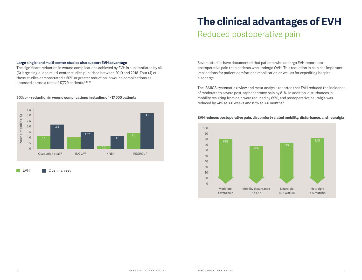#### **8** EVH CLINICAL ABSTRACTS EVH CLINICAL ABSTRACTS **9**

#### **Large single- and multi-center studies also support EVH advantage**

The significant reduction in wound complications achieved by EVH is substantiated by six (6) large single- and multi-center studies published between 2010 and 2018. Four (4) of these studies demonstrated a 50% or greater reduction in wound complications as assessed across a total of 17,729 patients.<sup>6, 16-18</sup>

#### **50% or > reduction in wound complications in studies of >17,000 patients**



EVH **Den** harvest

### **The clinical advantages of EVH**

### Reduced postoperative pain

Several studies have documented that patients who undergo EVH report less postoperative pain than patients who undergo OVH. This reduction in pain has important implications for patient comfort and mobilization as well as for expediting hospital discharge.

The ISMICS systematic review and meta-analysis reported that EVH reduced the incidence of moderate to severe post-saphenectomy pain by 81%. In addition, disturbances in mobility resulting from pain were reduced by 69%, and postoperative neuralgia was reduced by 74% at 3-6 weeks and 82% at 3-6 months.<sup>1</sup>



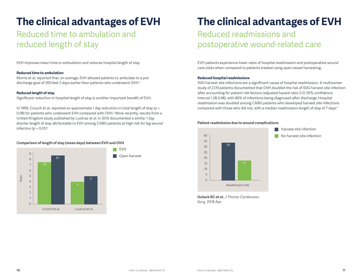### Reduced time to ambulation and reduced length of stay

EVH improves mean time to ambulation and reduces hospital length of stay.

#### **Reduced time to ambulation**

Morris et al. reported that, on average, EVH allowed patients to ambulate to a predischarge goal of 300 feet 2 days earlier than patients who underwent OVH.2

#### **Reduced length of stay**

Significant reduction in hospital length of stay is another important benefit of EVH.

In 1999, Crouch et al. reported an approximate 1 day reduction in total length of stay ( $p =$ 0.08) for patients who underwent EVH compared with OVH.3 More recently, results from a United Kingdom study published by Luckraz et al. in 2016 documented a similar 1 day shorter length of stay attributable to EVH among CABG patients at high risk for leg wound infection ( $p = 0.01$ )<sup>5</sup>

#### **Comparison of length of stay (mean days) between EVH and OVH**



**The clinical advantages of EVH**

### Reduced readmissions and postoperative wound-related care

EVH patients experience lower rates of hospital readmission and postoperative wound care visits when compared to patients treated using open vessel harvesting.

#### **Reduced hospital readmissions**

SVG harvest site infections are a significant cause of hospital readmission. A multicenter study of 2,174 patients documented that OVH doubled the risk of SVG harvest site infection after accounting for patient risk factors (adjusted hazard ratio 2.12; 95% confidence interval 1.28-3.48), with 86% of infections being diagnosed after discharge. Hospital readmission was doubled among CABG patients who developed harvest site infections compared with those who did not, with a median readmission length of stay of 7 days.4

#### **Patient readmission due to wound complications**



**Gulack BC et al.** *J Thorac Cardiovasc Surg.* 2018 Apr.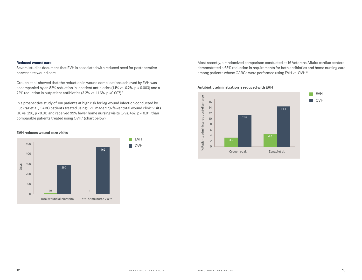#### **Reduced wound care**

Several studies document that EVH is associated with reduced need for postoperative harvest site wound care.

Crouch et al. showed that the reduction in wound complications achieved by EVH was accompanied by an 82% reduction in inpatient antibiotics (1.1% vs. 6.2%, p = 0.003) and a 72% reduction in outpatient antibiotics (3.2% vs. 11.6%, p = 0.007).<sup>3</sup>

In a prospective study of 100 patients at high risk for leg wound infection conducted by Luckraz et al., CABG patients treated using EVH made 97% fewer total wound clinic visits (10 vs. 290,  $p \le 0.01$ ) and received 99% fewer home nursing visits (5 vs. 462,  $p \le 0.01$ ) than comparable patients treated using OVH.5 (chart below)

#### **EVH reduces wound care visits**



Most recently, a randomized comparison conducted at 16 Veterans Affairs cardiac centers demonstrated a 68% reduction in requirements for both antibiotics and home nursing care among patients whose CABGs were performed using EVH vs. OVH.<sup>6</sup>



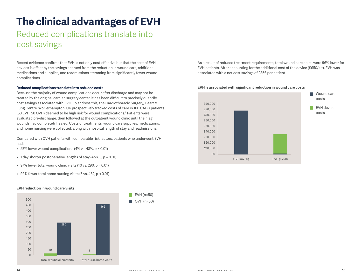### Reduced complications translate into cost savings

Recent evidence confirms that EVH is not only cost-effective but that the cost of EVH devices is offset by the savings accrued from the reduction in wound care, additional medications and supplies, and readmissions stemming from significantly fewer wound complications.

#### **Reduced complications translate into reduced costs**

Because the majority of wound complications occur after discharge and may not be treated by the original cardiac surgery center, it has been difficult to precisely quantify cost savings associated with EVH. To address this, the Cardiothoracic Surgery, Heart & Lung Centre, Wolverhampton, UK prospectively tracked costs of care in 100 CABG patients (50 EVH, 50 OVH) deemed to be high risk for wound complications.<sup>5</sup> Patients were evaluated pre-discharge, then followed at the outpatient wound clinic until their leg wounds had completely healed. Costs of treatments, wound care supplies, medications, and home nursing were collected, along with hospital length of stay and readmissions.

Compared with OVH patients with comparable risk factors, patients who underwent EVH had:

- 92% fewer wound complications (4% vs.  $48\%$ , p < 0.01)
- $\bullet$  1 day shorter postoperative lengths of stay (4 vs. 5, p = 0.01)
- • 97% fewer total wound clinic visits (10 vs. 290, p < 0.01)
- 99% fewer total home nursing visits (5 vs. 462,  $p < 0.01$ )



#### **EVH reduction in wound care visits**

As a result of reduced treatment requirements, total wound care costs were 96% lower for EVH patients. After accounting for the additional cost of the device (£650/kit), EVH was associated with a net cost savings of £856 per patient.



#### **EVH is associated with significant reduction in wound care costs**

EVH (n=50) OVH (n=50)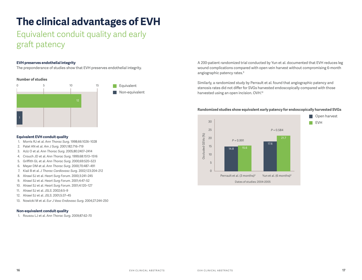### Equivalent conduit quality and early graft patency

#### **EVH preserves endothelial integrity**

The preponderance of studies show that EVH preserves endothelial integrity.

#### **Number of studies**



#### Equivalent

Non-equivalent

#### **Equivalent EVH conduit quality**

- 1. Morris RJ et al. *Ann Thorac Surg.* 1998;66:1026–1028
- 2. Patel AN et al. *Am J Surg.* 2001;182:716–719
- 3. Aziz O et al. *Ann Thorac Surg*. 2005;80:2407–2414
- 4. Crouch JD et al. *Ann Thorac Surg*. 1999;68:1513–1516
- 5. Griffith GL et al. *Ann Thorac Surg*. 2000;69:520–523
- 6. Meyer DM et al. *Ann Thorac Surg*. 2000;70:487–491
- 7. Kiaii B et al. *J Thorac Cardiovasc Surg.* 2002;123:204–212
- 8. Alrawi SJ et al. *Heart Surg Forum*. 2000;3:241–245
- 9. Alrawi SJ et al. *Heart Surg Forum*. 2001;4:47–52
- 10. Alrawi SJ et al. *Heart Surg Forum*. 2001;4:120–127
- 11. Alrawi SJ et al. *JSLS*. 2002;6:5–9
- 12. Alrawi SJ et al. *JSLS*. 2001;5:37–45
- 13. Nowicki M et al. *Eur J Vasc Endovasc Surg*. 2004;27:244–250

#### **Non-equivalent conduit quality**

1. Rousou LJ et al. *Ann Thorac Surg*. 2009;87:62–70

A 200-patient randomized trial conducted by Yun et al. documented that EVH reduces leg wound complications compared with open vein harvest without compromising 6-month angiographic patency rates.9

Similarly, a randomized study by Perrault et al. found that angiographic patency and stenosis rates did not differ for SVGs harvested endoscopically compared with those harvested using an open incision. OVH.10

#### **Randomized studies show equivalent early patency for endoscopically harvested SVGs**

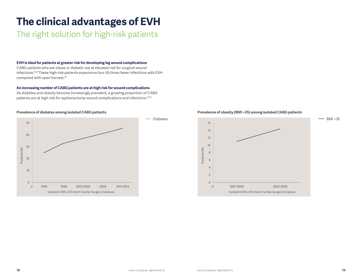### The right solution for high-risk patients

#### **EVH is ideal for patients at greater risk for developing leg wound complications**

CABG patients who are obese or diabetic are at elevated risk for surgical wound infections.15,19 These high-risk patients experience four (4) times fewer infections with EVH compared with open harvest.<sup>20</sup>

#### **An increasing number of CABG patients are at high risk for wound complications**

As diabetes and obesity become increasingly prevalent, a growing proportion of CABG patients are at high risk for saphenectomy wound complications and infections.<sup>21-25</sup>



#### **Prevalence of diabetes among isolated CABG patients**

#### **Prevalence of obesity (BMI >35) among isolated CABG patients**

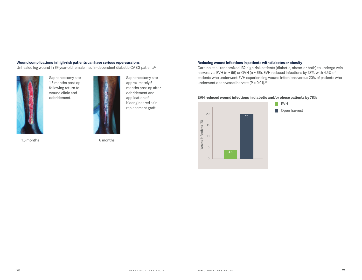#### **Wound complications in high-risk patients can have serious repercussions**

Unhealed leg wound in 67-year-old female insulin-dependent diabetic CABG patient:26



Saphenectomy site 1.5 months post-op following return to wound clinic and debridement.



1.5 months 6 months

#### **Reducing wound infections in patients with diabetes or obesity**

Carpino et al. randomized 132 high-risk patients (diabetic, obese, or both) to undergo vein harvest via EVH (n = 66) or OVH (n = 66). EVH reduced infections by 78%, with 4.5% of patients who underwent EVH experiencing wound infections versus 20% of patients who underwent open vessel harvest ( $P = 0.01$ ).<sup>20</sup>

#### **EVH reduced wound infections in diabetic and/or obese patients by 78%**



Saphenectomy site approximately 6 months post-op after debridement and application of bioengineered skin replacement graft.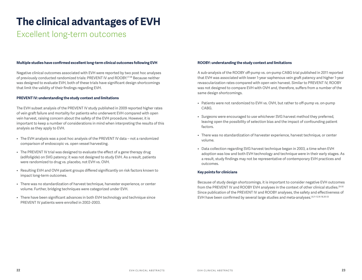### Excellent long-term outcomes

#### **Multiple studies have confirmed excellent long-term clinical outcomes following EVH**

Negative clinical outcomes associated with EVH were reported by two post hoc analyses of previously conducted randomized trials: PREVENT IV and ROOBY.27-28 Because neither was designed to evaluate EVH, both of these trials have significant design shortcomings that limit the validity of their findings regarding EVH.

#### **PREVENT IV: understanding the study context and limitations**

The EVH subset analysis of the PREVENT IV study published in 2009 reported higher rates of vein graft failure and mortality for patients who underwent EVH compared with open vein harvest, raising concern about the safety of the EVH procedure. However, it is important to keep a number of considerations in mind when interpreting the results of this analysis as they apply to EVH.

- • The EVH analysis was a post hoc analysis of the PREVENT IV data not a randomized comparison of endoscopic vs. open vessel harvesting.
- The PREVENT IV trial was designed to evaluate the effect of a gene therapy drug (edifoligide) on SVG patency; it was not designed to study EVH. As a result, patients were randomized to drug vs. placebo, not EVH vs. OVH.
- • Resulting EVH and OVH patient groups differed significantly on risk factors known to impact long-term outcomes.
- • There was no standardization of harvest technique, harvester experience, or center volume. Further, bridging techniques were categorized under EVH.
- • There have been significant advances in both EVH technology and technique since PREVENT IV patients were enrolled in 2002–2003.

#### **ROOBY: understanding the study context and limitations**

A sub-analysis of the ROOBY off-pump vs. on-pump CABG trial published in 2011 reported that EVH was associated with lower 1-year saphenous vein graft patency and higher 1-year revascularization rates compared with open vein harvest. Similar to PREVENT IV, ROOBY was not designed to compare EVH with OVH and, therefore, suffers from a number of the same design shortcomings.

- • Patients were not randomized to EVH vs. OVH, but rather to off-pump vs. on-pump CABG.
- • Surgeons were encouraged to use whichever SVG harvest method they preferred, leaving open the possibility of selection bias and the impact of confounding patient factors.
- • There was no standardization of harvester experience, harvest technique, or center volume.
- • Data collection regarding SVG harvest technique began in 2003, a time when EVH adoption was low and both EVH technology and technique were in their early stages. As a result, study findings may not be representative of contemporary EVH practices and outcomes.

#### **Key points for clinicians**

Because of study design shortcomings, it is important to consider negative EVH outcomes from the PREVENT IV and ROOBY EVH analyses in the context of other clinical studies.<sup>29-30</sup> Since publication of the PREVENT IV and ROOBY analyses, the safety and effectiveness of EVH have been confirmed by several large studies and meta-analyses.<sup>1,6,11-12,16-18,30-33</sup>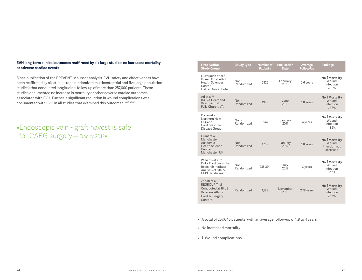#### **EVH long-term clinical outcomes reaffirmed by six large studies: no increased mortality or adverse cardiac events**

Since publication of the PREVENT IV subset analysis, EVH safety and effectiveness have been reaffirmed by six studies (one randomized multicenter trial and five large population studies) that conducted longitudinal follow-up of more than 257,000 patients. These studies documented no increase in mortality or other adverse cardiac outcomes associated with EVH. Further, a significant reduction in wound complications was documented with EVH in all studies that examined this outcome.<sup>6, 16-18,30-32</sup>

### »Endoscopic vein - graft havest is safe for CABG surgery — Dacey 2012«

| <b>First Author</b><br><b>Study Group</b>                                                                            | <b>Study Type</b>    | <b>Number of</b><br><b>Patients</b> | <b>Publication</b><br>Date | Average<br><b>Follow-Up</b> | <b>Findings</b>                                             |
|----------------------------------------------------------------------------------------------------------------------|----------------------|-------------------------------------|----------------------------|-----------------------------|-------------------------------------------------------------|
| Ouzounian et al. <sup>12</sup><br>Queen Elizabeth II<br><b>Health Sciences</b><br>Center<br>Halifax. Nova Scotia     | Non-<br>Randomized   | 5825                                | February<br>2010           | 2.6 years                   | No TMortality<br>Wound<br>infection<br>150%                 |
| Ad et al. <sup>13</sup><br><b>INOVA Heart and</b><br>Vascular Inst.<br>Falls Church, VA                              | $Non-$<br>Randomized | 1988                                | June<br>2010               | 1.8 years                   | No TMortality<br>Wound<br>infection<br>138%                 |
| Dacey et al. <sup>14</sup><br>Northern New<br>England<br>Cardiovascular<br>Disease Group                             | Non-<br>Randomized   | 8542                                | January<br>2011            | 4 years                     | No TMortality<br><b>Wound</b><br>infection<br>182%          |
| Grant et al. <sup>22</sup><br>Manchester<br>Academic<br><b>Health Science</b><br>Centre<br>Manchester, UK            | $Non-$<br>Randomized | 4709                                | January<br>2012            | 1.8 years                   | No Î Mortality<br><b>Wound</b><br>infection not<br>assessed |
| Williams et al. <sup>23</sup><br>Duke Cardiovascular<br>Research Institute<br>Analysis of STS &<br>CMS Databases     | Non-<br>Randomized   | 235,394                             | July<br>2012               | 3 years                     | No TMortality<br><b>Wound</b><br>infection<br>117%          |
| Zenati et al.<br><b>REGROUP Trial</b><br>Conducted at 16 US<br><b>Veterans Affairs</b><br>Cardiac Surgery<br>Centers | Randomized           | 1.188                               | November<br>2018           | 2.78 years                  | No Î Mortality<br>Wound<br>infection<br>155%                |

- • A total of 257,646 patients with an average follow-up of 1.8 to 4 years
- • No increased mortality
- $\bullet\ \downarrow$  Wound complications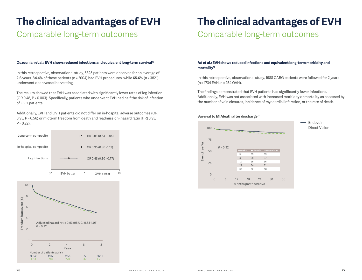### Comparable long-term outcomes

#### **Ouzounian et al.: EVH shows reduced infections and equivalent long-term survival16**

In this retrospective, observational study, 5825 patients were observed for an average of **2.6** years. **34.4**% of these patients (n = 2004) had EVH procedures, while **65.6**% (n = 3821) underwent open vessel harvesting.

The results showed that EVH was associated with significantly lower rates of leg infection (OR 0.48, P = 0.003). Specifically, patients who underwent EVH had half the risk of infection of OVH patients.

Additionally, EVH and OVH patients did not differ on in-hospital adverse outcomes (OR 0.93, P = 0.56) or midterm freedom from death and readmission (hazard ratio [HR] 0.93, P = 0.22).





## **The clinical advantages of EVH**

### Comparable long-term outcomes

#### **Ad et al.: EVH shows reduced infections and equivalent long-term morbidity and mortality17**

In this retrospective, observational study, 1988 CABG patients were followed for 2 years (n = 1734 EVH, n = 254 OVH).

The findings demonstrated that EVH patients had significantly fewer infections. Additionally, EVH was not associated with increased morbidity or mortality as assessed by the number of vein closures, incidence of myocardial infarction, or the rate of death.

#### **Survival to MI/death after discharge17**

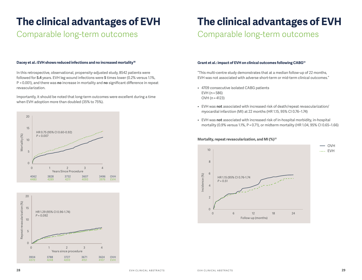### Comparable long-term outcomes

## **The clinical advantages of EVH**

Comparable long-term outcomes

#### **Dacey et al.: EVH shows reduced infections and no increased mortality18**

In this retrospective, observational, propensity-adjusted study, 8542 patients were followed for **5.4** years. EVH leg wound infections were **5** times lower (0.2% versus 1.1%, P < 0.001), and there was **no** increase in mortality and **no** significant difference in repeat revascularization.

Importantly, it should be noted that long-term outcomes were excellent during a time when EVH adoption more than doubled (35% to 75%).





#### **Grant et al.: impact of EVH on clinical outcomes following CABG31**

"This multi-centre study demonstrates that at a median follow-up of 22 months, EVH was not associated with adverse short-term or mid-term clinical outcomes."

- • 4709 consecutive isolated CABG patients EVH (n = 586) OVH (n = 4123)
- • EVH was **not** associated with increased risk of death/repeat revascularization/ myocardial infarction (MI) at 22 months (HR 1.15, 95% CI 0.76–1.74)
- • EVH was **not** associated with increased risk of in-hospital morbidity, in-hospital mortality (0.9% versus 1.1%, P = 0.71), or midterm mortality (HR 1.04, 95% CI 0.65–1.66)



#### **Mortality, repeat revascularization, and MI (%)31**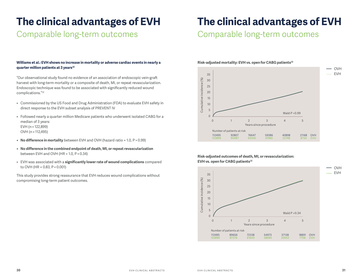### Comparable long-term outcomes

#### **Williams et al.: EVH shows no increase in mortality or adverse cardiac events in nearly a quarter million patients at 3 years32**

"Our observational study found no evidence of an association of endoscopic vein-graft harvest with long-term mortality or a composite of death, MI, or repeat revascularization. Endoscopic technique was found to be associated with significantly reduced wound complications."32

- • Commissioned by the US Food and Drug Administration (FDA) to evaluate EVH safety in direct response to the EVH subset analysis of PREVENT IV
- • Followed nearly a quarter million Medicare patients who underwent isolated CABG for a median of 3 years: EVH (n = 122,899) OVH (n = 112,495)
- No difference in mortality between EVH and OVH (hazard ratio = 1.0, P > 0.99)
- **• No difference in the combined endpoint of death, MI, or repeat revascularization** between EVH and OVH (HR = 1.0, P = 0.34)
- • EVH was associated with a **significantly lower rate of wound complications** compared to OVH (HR = 0.83, P < 0.001)

This study provides strong reassurance that EVH reduces wound complications without compromising long-term patient outcomes.

### **The clinical advantages of EVH**

Comparable long-term outcomes



#### **Risk-adjusted outcomes of death, MI, or revascularization: EVH vs. open for CABG patients32**

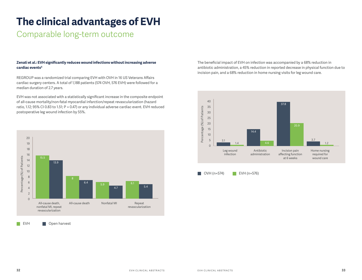### Comparable long-term outcome

#### **Zenati et al.: EVH significantly reduces wound infections without increasing adverse cardiac events6**

REGROUP was a randomized trial comparing EVH with OVH in 16 US Veterans Affairs cardiac surgery centers. A total of 1,188 patients (574 OVH, 576 EVH) were followed for a median duration of 2.7 years.

EVH was not associated with a statistically significant increase in the composite endpoint of all-cause mortality/non-fatal myocardial infarction/repeat revascularization (hazard ratio, 1.12; 95% CI 0.83 to 1.51; P = 0.47) or any individual adverse cardiac event. EVH reduced postoperative leg wound infection by 55%.



 $\mathbb{R}^n$ EVH **Den** Open harvest

The beneficial impact of EVH on infection was accompanied by a 68% reduction in antibiotic administration, a 45% reduction in reported decrease in physical function due to incision pain, and a 68% reduction in home nursing visits for leg wound care.



 $\Box$  OVH (n=574)  $\Box$  EVH (n=576)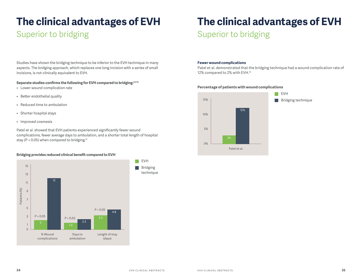### Superior to bridging

Studies have shown the bridging technique to be inferior to the EVH technique in many aspects. The bridging approach, which replaces one long incision with a series of small incisions, is not clinically equivalent to EVH.

#### **Separate studies confirms the following for EVH compared to bridging:13-14**

- • Lower wound complication rate
- • Better endothelial quality
- • Reduced time to ambulation
- • Shorter hospital stays
- • Improved cosmesis

Patel et al. showed that EVH patients experienced significantly fewer wound complications, fewer average days to ambulation, and a shorter total length of hospital stay ( $P < 0.05$ ) when compared to bridging.<sup>13</sup>

#### **Bridging provides reduced clinical benefit compared to EVH**



## **The clinical advantages of EVH**

### Superior to bridging

#### **Fewer wound complications**

Patel et al. demonstrated that the bridging technique had a wound complication rate of 12% compared to 2% with EVH.13

#### **Percentage of patients with wound complications**

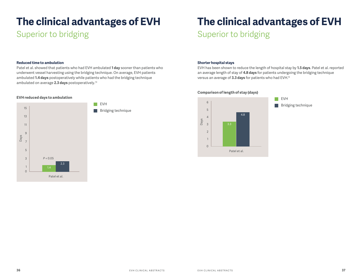### Superior to bridging

#### **Reduced time to ambulation**

Patel et al. showed that patients who had EVH ambulated **1 day** sooner than patients who underwent vessel harvesting using the bridging technique. On average, EVH patients ambulated **1.4 days** postoperatively while patients who had the bridging technique ambulated on average **2.3 days** postoperatively.13

#### **EVH reduced days to ambulation**



## **The clinical advantages of EVH**

Superior to bridging

#### **Shorter hospital stays**

EVH has been shown to reduce the length of hospital stay by **1.5 days**. Patel et al. reported an average length of stay of **4.8 days** for patients undergoing the bridging technique versus an average of **3.3 days** for patients who had EVH.13



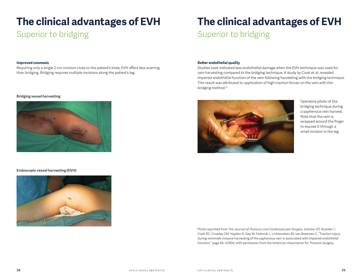### Superior to bridging

#### **Improved cosmesis**

Requiring only a single 2-cm incision close to the patient's knee, EVH offers less scarring than bridging. Bridging requires multiple incisions along the patient's leg.

#### **Bridging vessel harvesting**



#### **Endoscopic vessel harvesting (EVH)**



## **The clinical advantages of EVH** Superior to bridging

#### **Better endothelial quality**

Studies have indicated less endothelial damage when the EVH technique was used for vein harvesting compared to the bridging technique. A study by Cook et al. revealed impaired endothelial function of the vein following harvesting with the bridging technique. This result was attributed to application of high traction forces on the vein with the bridging method.<sup>14</sup>



Operative photo of the bridging technique during a saphenous vein harvest. Note that the vein is wrapped around the finger to expose it through a small incision in the leg.

Photo reprinted from *The Journal of Thoracic and Cardiovascular Surgery*, Volume 127, Number 1, Cook RC, Crowley CM, Hayden R, Gao M, Fedoruk L, Lichtenstein SV, van Breemen C, "Traction injury during minimally invasive harvesting of the saphenous vein is associated with impaired endothelial function," page 66, ©2004, with permission from the American Association for Thoracic Surgery.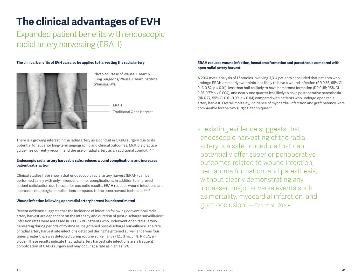Expanded patient benefits with endoscopic radial artery harvesting (ERAH)

#### **The clinical benefits of EVH can also be applied to harvesting the radial artery**



Photo courtesy of Wausau Heart & Lung Surgeons/Wausau Heart Institute (Wausau, WI).

Traditional Open Harvest

There is a growing interest in the radial artery as a conduit in CABG surgery due to its potential for superior long-term angiographic and clinical outcomes. Multiple practice guidelines currently recommend the use of radial artery as an additional conduit.34-35

#### **Endoscopic radial artery harvest is safe, reduces wound complications and increases patient satisfaction**

Clinical studies have shown that endosocopic radial artery harvest (ERAH) can be performed safely with only infrequent, minor complications. In addition to improved patient satisfaction due to superior cosmetic results, ERAH reduces wound infections and decreases neurologic complications compared to the open harvest technique.<sup>36-40</sup>

#### **Wound infection following open radial artery harvest is underestimated**

Recent evidence suggests that the incidence of infection following conventional radial artery harvest are dependent on the intensity and duration of post-discharge surveillance.<sup>41</sup> Infection rates were assessed in 309 CABG patients who underwent open radial artery harvesting during periods of routine vs. heightened post-discharge surveillance. The rate of radial artery harvest site infections detected during heightened surveillance was four times greater than was detected during routine surveillance (12.3% vs. 3.1%; RR 3.9; p = 0.002). These results indicate that radial artery harvest site infections are a frequent complication of CABG surgery and may occur at a rate as high as 12%.

#### **ERAH reduces wound infection, hematoma formation and paresthesia compared with open radial artery harvest**

A 2014 meta-analysis of 12 studies involving 3,314 patients concluded that patients who undergo ERAH are nearly two thirds less likely to have a wound infection (RR 0.36; 95% CI 0.16-0.82; p = 0.01), less than half as likely to have hematoma formation (RR 0.45; 95% CI 0.26-0.77; p = 0.004), and nearly one quarter less likely to have postoperative paresthesia (RR 0.77; 95% CI 0.61-0.99; p = 0.04) compared with patients who undergo open radial artery harvest. Overall mortality, incidence of myocardial infarction and graft patency were ERAH ERAH EXAMPLE FOR THE COMPONENT COMPONENT COMPONENT COMPONENT COMPONENT COMPONENT COMPONENT COMPONENT COMPONENT COMPONENT COMPONENT COMPONENT COMPONENT COMPONENT COMPONENT COMPONENT COMPONENT COMPONENT COMPONENT COMPON

> »...existing evidence suggests that endoscopic harvesting of the radial artery is a safe procedure that can potentially offer superior perioperative outcomes related to wound infection, hematoma formation, and paresthesia, without clearly demonstrating any increased major adverse events such as mortality, myocardial infarction, and graft occlusion. — Cao et al., 2014«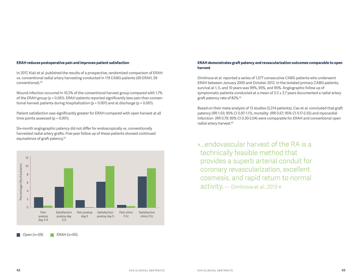#### **ERAH reduces postoperative pain and improves patient satisfaction**

In 2017, Kiaii et al. published the results of a prospective, randomized comparison of ERAH vs. conventional radial artery harvesting conducted in 119 CABG patients (60 ERAH, 59 conventional).39

Wound infection occurred in 10.2% of the conventional harvest group compared with 1.7% of the ERAH group (p = 0.061). ERAH patients reported significantly less pain than conventional harvest patients during hospitalization (p < 0.001) and at discharge (p < 0.001).

Patient satisfaction was significantly greater for ERAH compared with open harvest at all time points assessed (p < 0.001).

Six-month angiographic patency did not differ for endoscopically vs. conventionally harvested radial artery grafts. Five-year follow up of these patients showed continued equivalence of graft patency.42



Open (n=59) ERAH (n=60)

#### **ERAH demonstrates graft patency and revascularization outcomes comparable to open harvest**

Dimitrova et al. reported a series of 1,577 consecutive CABG patients who underwent ERAH between January 2000 and October 2012. In the isolated primary CABG patients, survival at 1, 5, and 10 years was 99%, 95%, and 90%. Angiographic follow up of symptomatic patients conducted at a mean of  $3.3 \pm 2.7$  years documented a radial artery graft patency rate of 82%.43

Based on their meta-analysis of 12 studies (3,314 patients), Cao et al. concluded that graft patency (RR 1.03; 95% CI 0.97-1.11), mortality (RR 0.67; 95% CI 0.17-2.55) and myocardial infarction (RR 0.79; 95% CI 0.30-2.04) were comparable for ERAH and conventional open radial artery harvest.40

» endovascular harvest of the RA is a technically feasible method that provides a superb arterial conduit for coronary revascularization, excellent cosmesis, and rapid return to normal activity. — Dimitrova et al., 2013 «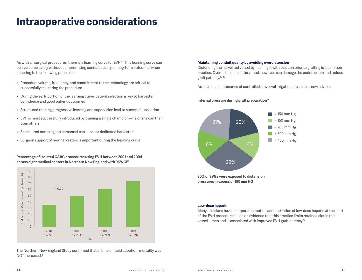## **Intraoperative considerations**

As with all surgical procedures, there is a learning curve for EVH.<sup>44</sup> This learning curve can be overcome safely without compromising conduit quality or long-term outcomes when adhering to the following principles:

- • Procedure volume, frequency, and commitment to the technology are critical to successfully mastering the procedure
- • During the early portion of the learning curve, patient selection is key to harvester confidence and good patient outcomes
- Structured training, progressive learning and supervision lead to successful adoption
- • EVH is most successfully introduced by training a single champion—he or she can then train others
- Specialized non-surgeon personnel can serve as dedicated harvesters
- • Surgeon support of new harvesters is important during the learning curve

**Percentage of isolated CABG procedures using EVH between 2001 and 2004 across eight medical centers in Northern New England with 95% CI18**



The Northern New England Study confirmed that in time of rapid adoption, mortality was NOT increased.<sup>18</sup>

#### **Maintaining conduit quality by avoiding overdistension**

Distending the harvested vessel by flushing it with solution prior to grafting is a common practice. Overdistension of the vessel, however, can damage the endothelium and reduce graft patency.45-46

As a result, maintenance of controlled, low-level irrigation pressure is now advised.

#### **Internal pressure during graft preparation**<sup>46</sup>



#### **Low-dose heparin**

Many clinicians have incorporated routine administration of low-dose heparin at the start of the EVH procedure based on evidence that this practice limits retained clot in the vessel lumen and is associated with improved EVH graft patency.47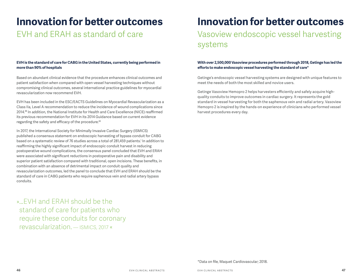### **Innovation for better outcomes**

### EVH and ERAH as standard of care

#### **EVH is the standard of care for CABG in the United States, currently being performed in more than 90% of hospitals**

Based on abundant clinical evidence that the procedure enhances clinical outcomes and patient satisfaction when compared with open vessel harvesting techniques without compromising clinical outcomes, several international practice guidelines for myocardial revascularization now recommend EVH.

EVH has been included in the ESC/EACTS Guidelines on Myocardial Revascularization as a Class IIa, Level A recommendation to reduce the incidence of wound complications since 2014.48 In addition, the National Institute for Health and Care Excellence (NICE) reaffirmed its previous recommendation for EVH in its 2014 Guidance based on current evidence regarding the safety and efficacy of the procedure.<sup>49</sup>

In 2017, the International Society for Minimally Invasive Cardiac Surgery (ISMICS) published a consensus statement on endoscopic harvesting of bypass conduit for CABG based on a systematic review of 76 studies across a total of 281,459 patients.<sup>1</sup> In addition to reaffirming the highly significant impact of endoscopic conduit harvest in reducing postoperative wound complications, the consensus panel concluded that EVH and ERAH were associated with significant reductions in postoperative pain and disability and superior patient satisfaction compared with traditional, open incisions. These benefits, in combination with an absence of detrimental impact on conduit quality and revascularization outcomes, led the panel to conclude that EVH and ERAH should be the standard of care in CABG patients who require saphenous vein and radial artery bypass conduits.

»…EVH and ERAH should be the standard of care for patients who require these conduits for coronary revascularization. — ISMICS, 2017 «

## **Innovation for better outcomes** Vasoview endoscopic vessel harvesting

systems

#### **With over 2,500,000 Vasoview procedures performed through 2018, Getinge has led the efforts to make endoscopic vessel harvesting the standard of care\***

Getinge's endoscopic vessel harvesting systems are designed with unique features to meet the needs of both the most skilled and novice users.

Getinge Vasoview Hemopro 2 helps harvesters efficiently and safely acquire highquality conduits to improve outcomes in cardiac surgery. It represents the gold standard in vessel harvesting for both the saphenous vein and radial artery. Vasoview Hemopro 2 is inspired by the hands-on experience of clinicians who performed vessel harvest procedures every day.

\*Data on file, Maquet Cardiovascular; 2018.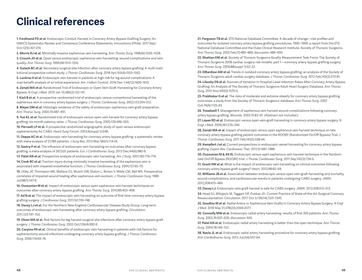### **Clinical references**

**1. Ferdinand FD et al.** Endoscopic Conduit Harvest in Coronary Artery Bypass Grafting Surgery: An ISMICS Systematic Review and Consensus Conference Statements. *Innovations* (Phila). 2017 Sep/ Oct;12(5):301-319.

**2. Morris RJ et al.** Minimally invasive saphenous vein harvesting. *Ann Thorac Surg.* 1998;66:1026–1028.

**3. Crouch JD et al.** Open versus endoscopic saphenous vein harvesting: wound complications and vein quality. *Ann Thorac Surg.* 1999;68:1513–1516.

**4. Gulack BC et al.** Secondary surgical-site infection after coronary artery bypass grafting: A multi-institutional prospective cohort study. *J Thorac Cardiovasc Surg.* 2018 Apr;155(4):1555-1562.

**5. Luckraz H et al.** Endoscopic vein harvest in patients at high risk for leg wound complications: A cost-benefit analysis of an initial experience. *Am J Infect Control.* 2016 Dec 1;44(12):1606-1610.

**6. Zenati MA et al.** Randomized Trial of Endoscopic or Open Vein-Graft Harvesting for Coronary-Artery Bypass. *N Engl J Med.* 2019 Jan 10;380(2):132-141.

**7. Kiaii B et al.** A prospective randomized trial of endoscopic versus conventional harvesting of the saphenous vein in coronary artery bypass surgery. *J Thorac Cardiovasc Surg.* 2002;123:204–212.

**8. Meyer DM et al.** Histologic evidence of the safety of endoscopic saphenous vein graft preparation. *Ann Thorac Surg.* 2000;70:487–491.

**9. Yun KL et al.** Randomized trial of endoscopic versus open vein harvest for coronary artery bypass grafting: six-month patency rates. *J Thorac Cardiovasc Surg.* 2005;129:496–503.

**10. Perrault LP et al.** A prospective randomized angiographic study of open versus endoscopic saphenectomy for CABG. *Heart Surg Forum.* 2003;6(suppl 1):S48.

**11. Deppe AC et al.** Endoscopic vein harvesting for coronary artery bypass grafting: a systematic review with meta-analysis of 27,789 patients. *J Surg Res.* 2013 Mar;180(1):114-24.

**12. Sastry P et al.** The influence of endoscopic vein harvesting on outcomes after coronary bypass grafting: a meta-analysis of 267,525 patients. *Eur J Cardiothorac Surg.* 2013 Dec;44(6):980-9.

**13. Patel AN et al.** Prospective analysis of endoscopic vein harvesting. *Am J Surg.* 2001;182:716–719.

**14. Cook RC et al.** Traction injury during minimally invasive harvesting of the saphenous vein is associated with impaired endothelial function. *J Thorac Cardiovasc Surg.* 2004;127:65–70.

**15.** Utley JR, Thomason ME, Wallace DJ, Mutch DW, Staton L, Brown V, Wilde CM, Bell MS. Preoperative correlates of impaired wound healing after saphenous vein excision. *J Thorac Cardiovasc Surg.* 1989 Jul;98(1):147-9.

**16. Ouzounian M et al.** Impact of endoscopic versus open saphenous vein harvest techniques on outcomes after coronary artery bypass grafting. *Ann Thorac Surg.* 2010;89:403–408.

**17. Ad N et al.** The impact of endoscopic vein harvesting on outcome of first time coronary artery bypass grafting surgery. *J Cardiovasc Surg.* 2011;52:739–748.

**18. Dacey LJ et al.** For the Northern New England Cardiovascular Disease Study Group. Long-term outcomes of endoscopic vein harvesting after coronary artery bypass grafting. *Circulation*. 2011;123:147–153.

**19. Olsen MA et al.** Risk factors for leg harvest surgical site infections after coronary artery bypass graft surgery. *J Thorac Cardiovasc Surg.* 2003 Oct;126(4):992-9.

**20. Carpino PA et al.** Clinical benefits of endoscopic vein harvesting in patients with risk factors for saphenectomy wound infections undergoing coronary artery bypass grafting. *J Thorac Cardiovasc Surg.* 2000;119:69–76.

**21. Ferguson TB et al.** STS National Database Committee. A decade of change—risk profiles and outcomes for isolated coronary artery bypass grafting procedures, 1990–1999: a report from the STS National Database Committee and the Duke Clinical Research Institute. Society of Thoracic Surgeons. *Ann Thorac Surg.* 2002 Feb;73:480–489; discussion 489–490.

**22. Shahian DM et al.** Society of Thoracic Surgeons Quality Measurement Task Force. The Society of Thoracic Surgeons 2008 cardiac surgery risk models: part 1—coronary artery bypass grafting surgery. *Ann Thorac Surg.* 2009;88(suppl 1):S2–22.

**23. ElBardissi AW et al.** Trends in isolated coronary artery bypass grafting: an analysis of the Society of Thoracic Surgeons adult cardiac surgery database. *J Thorac Cardiovasc Surg.* 2012 Feb;143(2):273-81.

**24. Likosky DS et al.** Sources of Variation in Hospital-Level Infection Rates After Coronary Artery Bypass Grafting: An Analysis of The Society of Thoracic Surgeons Adult Heart Surgery Database. *Ann Thorac Surg.* 2015 Nov;100(5):1570-5;

**25. Prabhakar G et al.** The risks of moderate and extreme obesity for coronary artery bypass grafting outcomes: a study from the Society of Thoracic Surgeons' database. *Ann Thorac Surg.* 2002 Oct;74(4):1125-30;

**26. Treadwell T.** Management of saphenous vein harvest wound complications following coronary artery bypass grafting. *Wounds.* 2003;15:83–91. (Abstract not included.)

**27. Lopes RD et al.** Endoscopic versus open vein-graft harvesting in coronary-artery bypass surgery. *N Engl J Med.* 2009;361:235–244.

**28. Zenati MA et al.** Impact of endoscopic versus open saphenous vein harvest technique on late coronary artery bypass grafting patient outcomes in the ROOBY (Randomized On/Off Bypass) Trial. *J Thorac Cardiovasc Surg.* 2011 Feb;141(2):338-44.

**29. Kempfert J et al.** Current perspectives in endoscopic vessel harvesting for coronary artery bypass grafting. *Expert Rev. Cardiovasc Ther.* 2011;9:1481–1488.

**30. Ouzounian M & Ali IS.** Endoscopic versus open saphenous vein harvest technique in the Randomized On/Off Bypass (ROOBY) trial. J Thorac Cardiovasc Surg. 2011 Sep;142(3):724-5;

**31. Grant SW et al.** What is the impact of endoscopic vein harvesting on clinical outcomes following coronary artery bypass graft surgery? *Heart.* 2012;98:60–64.

**32. Williams JB et al.** Association between endoscopic versus open vein-graft harvesting and mortality, wound complications, and cardiovascular events in patients undergoing CABG surgery. *JAMA*. 2012;308:475–484.

**33. Dacey LJ.** Endoscopic vein-graft harvest is safe for CABG surgery. *JAMA*. 2012;308:512–513.

**34.** Head SJ, Milojevic M, Taggart DP, Puskas JD. Current Practice of State-of-the-Art Surgical Coronary Revascularization. *Circulation.* 2017 Oct 3;136(14):1331-1345.

**35. Gaudino M et al.** Radial-Artery or Saphenous-Vein Grafts in Coronary-Artery Bypass Surgery. *N Engl J Med.* 2018 May 31;378(22):2069-2077.

**36. Connolly MW et al.** Endoscopic radial artery harvesting: results of first 300 patients. *Ann Thorac Surg.* 2002;74:502–505; discussion 506.

**37. Patel AN et al.** Endoscopic radial artery harvesting is better than the open technique. *Ann Thorac Surg.* 2004;78:149–153.

**38. Navia JL et al.** Endoscopic radial artery harvesting procedure for coronary artery bypass grafting. *Ann Cardiothorac Surg.* 2013 Jul;2(4):557-64.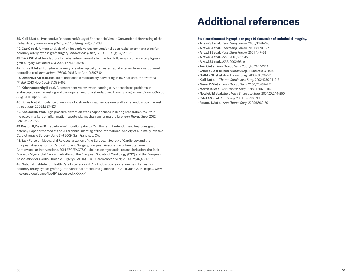**39. Kiaii BB et al.** Prospective Randomized Study of Endoscopic Versus Conventional Harvesting of the Radial Artery. *Innovations (Phila).* 2017 Jul/Aug;12(4):231-238.

**40. Cao C et al.** A meta-analysis of endoscopic versus conventional open radial artery harvesting for coronary artery bypass graft surgery. *Innovations (Phila).* 2014 Jul-Aug;9(4):269-75.

**41. Trick WE et al.** Risk factors for radial artery harvest site infection following coronary artery bypass graft surgery. *Clin Infect Dis.* 2000 Feb;30(2):270-5.

**42. Burns DJ et al.** Long-term patency of endoscopically harvested radial arteries: from a randomized controlled trial. *Innovations (Phila).* 2015 Mar-Apr;10(2):77-84.

**43. Dimitrova KR et al.** Results of endoscopic radial artery harvesting in 1577 patients. *Innovations (Phila).* 2013 Nov-Dec;8(6):398-402.

**44. Krishnamoorthy B et al.** A comprehensive review on learning curve associated problems in endoscopic vein harvesting and the requirement for a standardised training programme. *J Cardiothorac Surg.* 2016 Apr 8;11:45.

**45. Burris N et al.** Incidence of residual clot strands in saphenous vein grafts after endoscopic harvest. *Innovations.* 2006;1:323–327.

**46. Khaleel MS et al.** High-pressure distention of the saphenous vein during preparation results in increased markers of inflammation: a potential mechanism for graft failure. *Ann Thorac Surg.* 2012 Feb;93:552–558.

**47. Poston R, Desai P.** Heparin administration prior to EVH limits clot retention and improves graft patency. Paper presented at the 2009 annual meeting of the International Society of Minimally Invasive Cardiothoracic Surgery; June 3–6 2009; San Francisco, CA.

**48.** Task Force on Myocardial Revascularization of the European Society of Cardiology and the European Association for Cardio-Thoracic Surgery; European Association of Percutaneous Cardiovascular Interventions. 2014 ESC/EACTS Guidelines on myocardial revascularization: the Task Force on Myocardial Revascularization of the European Society of Cardiology (ESC) and the European Association for Cardio-Thoracic Surgery (EACTS). Eur J Cardiothorac Surg. 2014 Oct;46(4):517-92.

**49.** National Institute for Health Care Excellence (NICE). Endoscopic saphenous vein harvest for coronary artery bypass grafting. Interventional procedures guidance [IPG494]. June 2014. https://www. nice.org.uk/guidance/ipg494 (accessed XXXXXX)

## **Additional references**

#### **Studies referenced in graphic on page 16 discussion of endothelial integrity.**

- **Alrawi SJ et al.** *Heart Surg Forum.* 2000;3:241–245
- **Alrawi SJ et al.** *Heart Surg Forum.* 2001;4:120–127
- **Alrawi SJ et al.** *Heart Surg Forum.* 2001;4:47–52
- **Alrawi SJ et al.** *JSLS.* 2001;5:37–45
- **Alrawi SJ et al.** *JSLS.* 2002;6:5–9
- **Aziz O et al.** *Ann Thorac Surg.* 2005;80:2407–2414
- **Crouch JD et al.** *Ann Thorac Surg.* 1999;68:1513–1516
- **Griffith GL et al.** *Ann Thorac Surg.* 2000;69:520–523
- **Kiaii B et al.** *J Thorac Cardiovasc Surg.* 2002;123:204–212
- **Meyer DM et al.** *Ann Thorac Surg.* 2000;70:487–491
- **Morris RJ et al.** *Ann Thorac Surg.* 1998;66:1026–1028
- **Nowicki M et al.** *Eur J Vasc Endovasc Surg.* 2004;27:244–250
- **Patel AN et al.** *Am J Surg.* 2001;182:716–719
- **Rousou LJ et al.** *Ann Thorac Surg.* 2009;87:62–70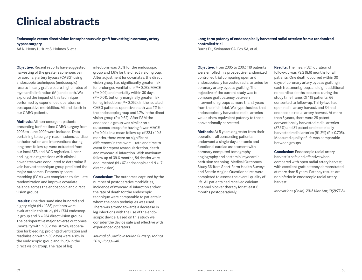### **Clinical abstracts**

#### **Endoscopic versus direct vision for saphenous vein graft harvesting in coronary artery bypass surgery**

Ad N, Henry L, Hunt S, Holmes S, et al.

**Objective:** Recent reports have suggested harvesting of the greater saphenous vein for coronary artery bypass (CABG) using endoscopic techniques (endoscopic) results in early graft closure, higher rates of myocardial infarction (MI) and death. We explored the impact of this technique performed by experienced operators on postoperative morbidities, MI and death in our CABG patients.

**Methods:** All non-emergent patients presenting for first time CABG surgery from 2006 to June 2009 were included. Data pertaining to surgery, readmissions, cardiac catheterization and interventions during long term follow-up were extracted from our local STS and ACC registries. Linear and logistic regressions with clinical covariates were conducted to determine if vein harvest technique group predicted the major outcomes. Propensity score matching (PSM) was completed to simulate randomization and improve covariate balance across the endoscopic and direct vision groups.

**Results:** One thousand nine hundred and eighty-eight (N = 1988) patients were evaluated in this study (N = 1734 endoscopic group and N = 254 direct vision group). The perioperative major adverse outcomes (mortality within 30 days, stroke, reoperation for bleeding, prolonged ventilation and readmission within 30 days) were 17.8% in the endoscopic group and 25.2% in the direct vision group. The rate of leg

infections was 0.3% for the endoscopic group and 1.6% for the direct vision group. After adjustment for covariates, the direct vision group had significantly greater risk for prolonged ventilation (P = 0.03), MACE (P = 0.02) and mortality within 30 days (P = 0.01), but only marginally greater risk for leg infections (P = 0.052). In the isolated CABG patients, operative death was 1% for the endoscopic group and 1.7% in the direct vision group (P = 0.62). After PSM the endoscopic group was similar on all outcomes except for having fewer MACE (P = 0.04). In a mean follow-up of 22.1 ± 10.5 months, there were no significant differences in the overall rate and time to event for repeat revascularization, death and myocardial infarction. With maximum follow up of 39.6 months, 84 deaths were documented (N = 67 endoscopic and N = 17 direct vision).

**Conclusion:** The outcomes captured by the number of postoperative morbidities, incidence of myocardial infarction and/or the rate of death for the endoscopic technique were comparable to patients in whom the open techniques was used. There was a trend towards a decrease in leg infections with the use of the endoscopic device. Based on this study we consider the device safe and effective with experienced operators.

*Journal of Cardiovascular Surgery (Torino). 2011;52:739–748.*

#### **Long-term patency of endoscopically harvested radial arteries: from a randomized controlled trial**

Burns DJ, Swinamer SA, Fox SA, et al.

**Objective:** From 2005 to 2007, 119 patients were enrolled in a prospective randomized controlled trial comparing open and endoscopically harvested radial arteries for coronary artery bypass grafting. The objective of the current study was to compare graft patency between intervention groups at more than 5 years from the initial trial. We hypothesized that endoscopically harvested radial arteries would show equivalent patency to those conventionally harvested.

**Methods:** At 5 years or greater from their operation, all consenting patients underwent a single-day anatomic and functional cardiac assessment with coronary computed tomography angiography and sestamibi myocardial perfusion scanning. Medical Outcomes Study 36-Item Short-Form Health Surveys and Seattle Angina Questionnaires were completed to assess the overall quality of life. All patients had received calcium channel blocker therapy for at least 6 months postoperatively.

**Results:** The mean (SD) duration of follow-up was 79.2 (8.6) months for all patients. One death occurred within 30 days of coronary artery bypass grafting in each treatment group, and eight additional noncardiac deaths occurred during the study time frame. Of 119 patients, 66 consented to follow-up. Thirty-two had open radial artery harvest, and 34 had endoscopic radial artery harvest. At more than 5 years, there were 28 patent conventionally harvested radial arteries (87.5%) and 31 patent endoscopically harvested radial arteries (91.2%) (P = 0.705). Measured quality of life was comparable between groups.

**Conclusion:** Endoscopic radial artery harvest is safe and effective when compared with open radial artery harvest, with excellent graft patency demonstrated at more than 5 years. Patency results are noninferior in endoscopic radial artery harvest.

*Innovations (Phila). 2015 Mar-Apr;10(2):77-84*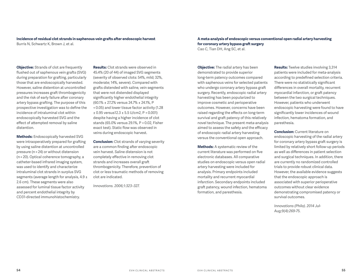#### **Incidence of residual clot strands in saphenous vein grafts after endoscopic harvest**

Burris N, Schwartz K, Brown J, et al.

**Objective:** Strands of clot are frequently flushed out of saphenous vein grafts (SVG) during preparation for grafting, particularly those that are endoscopically harvested. However, saline distention at uncontrolled pressures increases graft thrombogenicity and the risk of early failure after coronary artery bypass grafting. The purpose of this prospective investigation was to define the incidence of intraluminal clot within endoscopically harvested SVG and the effect of attempted removal by saline distention.

**Methods:** Endoscopically harvested SVG were intraoperatively prepared for grafting by using saline distention at uncontrolled pressure (n = 24) or without distension (n = 20). Optical coherence tomography, a catheter-based infrared imaging system, was used to identify and characterize intraluminal clot strands in surplus SVG segments (average length for analysis, 4.9 ± 2.6 cm). These segments were also assessed for luminal tissue factor activity and percent endothelial integrity by CD31-directed immunohistochemistry.

**Results:** Clot strands were observed in 45.4% (20 of 44) of imaged SVG segments (severity of observed clots: 54%, mild; 32%, moderate; 14%, severe). Compared with grafts distended with saline, vein segments that were not distended displayed significantly higher endothelial integrity (60.1% ± 27.2% versus 24.7% ± 24.1%, P < 0.05) and lower tissue factor activity (1.28 ± 0.95 versus12.3 ± 5.5 U/cm2, P < 0.001) despite having a higher incidence of clot stands (65.0% versus 29.1%, P < 0.02, Fisher exact test). Static flow was observed in veins during endoscopic harvest.

**Conclusion:** Clot strands of varying severity are a common finding after endoscopic vein harvest. Saline distension is not completely effective in removing clot strands and increases overall graft thrombogenicity. Therefore, prevention of clot or less traumatic methods of removing clot are indicated.

*Innovations. 2006;1:323–327.*

**A meta-analysis of endoscopic versus conventional open radial artery harvesting for coronary artery bypass graft surgery** Cao C, Tian DH, Ang SC, et al.

**Objective:** The radial artery has been demonstrated to provide superior long-term patency outcomes compared with saphenous veins for selected patients who undergo coronary artery bypass graft surgery. Recently, endoscopic radial artery harvesting has been popularized to improve cosmetic and perioperative outcomes. However, concerns have been raised regarding the effects on long-term survival and graft patency of this relatively novel technique. The present meta-analysis aimed to assess the safety and the efficacy of endoscopic radial artery harvesting versus the conventional open approach.

**Methods:** A systematic review of the current literature was performed on five electronic databases. All comparative studies on endoscopic versus open radial artery harvesting were included for analysis. Primary endpoints included mortality and recurrent myocardial infarction. Secondary endpoints included graft patency, wound infection, hematoma formation, and paresthesia.

**Results:** Twelve studies involving 3,314 patients were included for meta-analysis according to predefined selection criteria. There were no statistically significant differences in overall mortality, recurrent myocardial infarction, or graft patency between the two surgical techniques. However, patients who underwent endoscopic harvesting were found to have significantly lower incidences of wound infection, hematoma formation, and paresthesia.

**Conclusion:** Current literature on endoscopic harvesting of the radial artery for coronary artery bypass graft surgery is limited by relatively short follow-up periods as well as differences in patient selection and surgical techniques. In addition, there are currently no randomized controlled trials to provide robust clinical data. However, the available evidence suggests that the endoscopic approach is associated with superior perioperative outcomes without clear evidence demonstrating compromised patency or survival outcomes.

*Innovations (Phila). 2014 Jul-Aug;9(4):269-75.*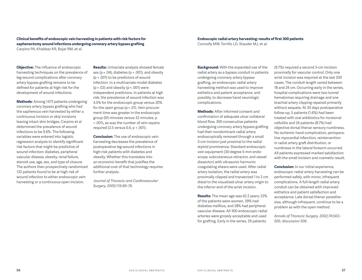#### **Clinical benefits of endoscopic vein harvesting in patients with risk factors for saphenectomy wound infections undergoing coronary artery bypass grafting** Carpino PA, Khabbaz KR, Bojar RM, et al.

**Objective:** The influence of endoscopic harvesting techniques on the prevalence of leg-wound complications after coronary artery bypass grafting remains to be defined for patients at high risk for the development of wound infections.

**Methods:** Among 1473 patients undergoing coronary artery bypass grafting who had the saphenous vein harvested by either a continuous incision or skip incisions leaving intact skin bridges, Carpino et al determined the prevalence of wound infections to be 9.6%. The following variables were entered into logistic regression analysis to identify significant risk factors that might be predictive of wound infection: diabetes, peripheral vascular disease, obesity, renal failure, steroid use, age, sex, and type of closure. The authors then prospectively randomized 132 patients found to be at high risk of wound infection to either endoscopic vein harvesting or a continuous open incision.

**Results:** Univariate analysis showed female sex (p = .04), diabetes (p < .001), and obesity (p < .001) to be predictors of wound infection. In a multivariate model diabetes (p = .02) and obesity (p = .001) were independent predictors. In patients at high risk, the prevalence of wound infection was 4.5% for the endoscopic group versus 20% for the open group (p = .01). Vein procurement time was greater in the endoscopic group (65 minutes versus 32 minutes, p < .001), as was the number of vein repairs required (2.5 versus 0.6, p < .001).

**Conclusion:** The use of endoscopic vein harvesting decreases the prevalence of postoperative leg-wound infections in high-risk patients with diabetes and obesity. Whether this translates into an economic benefit that justifies the additional cost of that technology requires further analysis.

*Journal of Thoracic and Cardiovascular Surgery. 2000;119:69–76.*

#### **Endoscopic radial artery harvesting: results of first 300 patients**

Connolly MW, Torrillo LD, Stauder MJ, et al.

**Background:** With the expanded use of the radial artery as a bypass conduit in patients undergoing coronary artery bypass grafting, an endoscopic radial artery harvesting method was used to improve esthetics and patient acceptance, and possibly, to decrease hand neurologic complications.

**Methods:** After informed consent and confirmation of adequate ulnar collateral blood flow, 300 consecutive patients undergoing coronary artery bypass grafting had their nondominant radial artery endoscopically removed through a small 3-cm incision just proximal to the radial styloid prominence. Standard endoscopic vein equipment (30-degree 5-mm endoscope, subcutaneous retractor, and vessel dissector) with ultrasonic harmonic coagulating shears were used. After radial artery isolation, the radial artery was proximally clipped and transected 1 to 2 cm distal to the visualized ulnar artery origin to the inferior end of the wrist incision.

**Results:** The mean age was 62.2 years; 23% of the patients were women, 39% had diabetes mellitus, and 28% had peripheral vascular disease. All 300 endoscopic radial arteries were grossly acceptable and used for grafting. Early in the series, 29 patients

(9.7%) required a second 3-cm incision proximally for vascular control. Only one wrist incision was required at the last 200 cases. The conduit length varied between 18 and 24 cm. Occurring early in the series, hospital complications were two tunnel hematomas requiring drainage and one brachial artery clipping repaired primarily without sequela. At 30 days postoperative follow-up, 5 patients (1.6%) had been treated with oral antibiotics for incisional cellulitis and 26 patients (8.7%) had objective dorsal thenar sensory numbness. No ischemic hand complication, perioperative myocardial infarction, reintervention in radial artery graft distribution, or numbness in the lateral forearm occurred. All patients expressed marked satisfaction with the small incision and cosmetic result.

**Conclusion:** In our initial experience, endoscopic radial artery harvesting can be performed safely, with minor, infrequent complications. A full-length radial artery conduit can be obtained with improved esthetics and patient satisfaction and acceptance. Late dorsal thenar paresthesias, although infrequent, continue to be a problem as with the open method.

*Annals of Thoracic Surgery. 2002;74:502– 505; discussion 506.*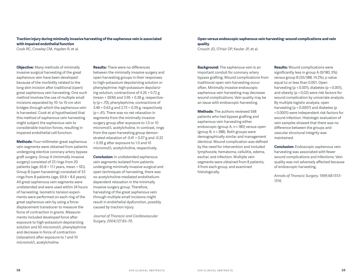#### **Traction injury during minimally invasive harvesting of the saphenous vein is associated with impaired endothelial function**

Cook RC, Crowley CM, Hayden R, et al.

**Objective:** Many methods of minimally invasive surgical harvesting of the great saphenous vein have been developed because of the morbidity related to the long skin incision after traditional (open) great saphenous vein harvesting. One such method involves the use of multiple small incisions separated by 10- to 15-cm skin bridges through which the saphenous vein is harvested. Cook et al hypothesized that this method of saphenous vein harvesting might subject the saphenous vein to considerable traction forces, resulting in impaired endothelial cell function.

**Methods:** Four-millimeter great saphenous vein segments were obtained from patients undergoing elective coronary artery bypass graft surgery. Group A (minimally invasive surgery) consisted of 23 rings from 20 patients (age, 65.8 + 11.1 years, mean + SD). Group B (open harvesting) consisted of 33 rings from 8 patients (age, 69.8 + 8.6 years). All great saphenous vein segments were undistended and were used within 24 hours of harvesting. Isometric tension experiments were performed on each ring of the great saphenous vein by using a forcedisplacement transducer to measure the force of contraction in grams. Measurements included developed force after exposure to high-potassium depolarizing solution and 50 micromol/L phenylephrine and decrease in force of contraction (relaxation) after exposure to 1 and 10 micromol/L acetylcholine.

**Results:** There were no differences between the minimally invasive surgery and open harvesting groups in their responses to high-potassium depolarizing solution or phenylephrine: high-potassium depolarizing solution, contractions of 4.26 + 0.72 g (mean + SEM) and 3.95 + 0.38 g, respectively (p = .70); phenylephrine, contractions of 3.49 + 0.63 g and 2.73 + 0.39 g, respectively (p = .41). There was no net relaxation in segments from the minimally invasive surgery group after exposure to 1.0 or 10 micromol/L acetylcholine. In contrast, rings from the open harvesting group demonstrated relaxation of -0.41 + 0.07 g and -0.32 + 0.09 g after exposure to 1.0 and 10 micromol/L acetylcholine, respectively.

**Conclusion:** In undistended saphenous vein segments isolated from patients undergoing minimally invasive surgical and open techniques of harvesting, there was no acetylcholine-mediated endotheliumdependent relaxation in the minimally invasive surgery group. Therefore, harvesting of the great saphenous vein through multiple small incisions might result in endothelial dysfunction, possibly caused by traction injury.

*Journal of Thoracic and Cardiovascular Surgery. 2004;127:65–70.*

#### **Open versus endoscopic saphenous vein harvesting: wound complications and vein quality**

Crouch JD, O'Hair DP, Keuler JP, et al.

**Background:** The saphenous vein is an important conduit for coronary artery bypass grafting. Wound complications from traditional open vein harvesting occur often. Minimally invasive endoscopic saphenous vein harvesting may decrease wound complications. Vein quality may be an issue with endoscopic harvesting.

**Methods:** The authors reviewed 568 patients who had bypass grafting and saphenous vein harvesting either endoscopic (group A, n = 180) versus open (group B, n = 388). Both groups were demographically similar and management identical. Wound complication was defined by the need for intervention and included lymphocele, hematoma, cellulitis, edema, eschar, and infection. Multiple vein segments were obtained from 8 patients, 4 from each group, and examined histologically.

**Results:** Wound complications were significantly less in group A (9/180, 5%) versus group B (55/388, 14.2%), p value equal to or less than 0.001. Open harvesting (p < 0.001), diabetes (p < 0.001), and obesity (p < 0.02) were risk factors for wound complication by univariate analysis. By multiple logistic analysis, open harvesting (p < 0.0007) and diabetes (p < 0.0001) were independent risk factors for wound infection. Histologic evaluation of vein samples showed that there was no difference between the groups and vascular structural integrity was maintained.

**Conclusion:** Endoscopic saphenous vein harvesting was associated with fewer wound complications and infections. Vein quality was not adversely affected because of endoscopic harvesting.

*Annals of Thoracic Surgery. 1999;68:1513– 1516.*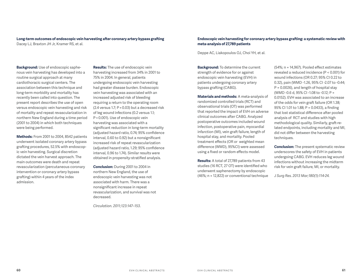#### **Long-term outcomes of endoscopic vein harvesting after coronary artery bypass grafting** Dacey LJ, Braxton JH Jr, Kramer RS, et al.

**Background:** Use of endoscopic saphenous vein harvesting has developed into a routine surgical approach at many cardiothoracic surgical centers. The association between this technique and long-term morbidity and mortality has recently been called into question. The present report describes the use of open versus endoscopic vein harvesting and risk of mortality and repeat revascularization in northern New England during a time period (2001 to 2004) in which both techniques were being performed.

**Methods:** From 2001 to 2004, 8542 patients underwent isolated coronary artery bypass grafting procedures, 52.5% with endoscopic vein harvesting. Surgical discretion dictated the vein harvest approach. The main outcomes were death and repeat revascularization (percutaneous coronary intervention or coronary artery bypass grafting) within 4 years of the index admission.

**Results:** The use of endoscopic vein harvesting increased from 34% in 2001 to 75% in 2004. In general, patients undergoing endoscopic vein harvesting had greater disease burden. Endoscopic vein harvesting was associated with an increased adjusted risk of bleeding requiring a return to the operating room (2.4 versus 1.7; P = 0.03) but a decreased risk of leg wound infections (0.2 versus 1.1; P < 0.001). Use of endoscopic vein harvesting was associated with a significant reduction in long-term mortality (adjusted hazard ratio, 0.74; 95% confidence interval, 0.60 to 0.92) but a nonsignificant increased risk of repeat revascularization (adjusted hazard ratio, 1.29; 95% confidence interval, 0.96 to 1.74). Similar results were obtained in propensity-stratified analysis.

**Conclusion:** During 2001 to 2004 in northern New England, the use of endoscopic vein harvesting was not associated with harm. There was a nonsignificant increase in repeat revascularization, and survival was not decreased.

*Circulation. 2011;123:147–153.*

#### **Endoscopic vein harvesting for coronary artery bypass grafting: a systematic review with meta-analysis of 27,789 patients**

Deppe AC, Liakopoulos OJ, Choi YH, et al.

**Background:** To determine the current strength of evidence for or against endoscopic vein harvesting (EVH) in patients undergoing coronary artery bypass grafting (CABG).

**Materials and methods:** A meta-analysis of randomized controlled trials (RCT) and observational trials (OT) was performed that reported the impact of EVH on adverse clinical outcomes after CABG. Analyzed postoperative outcomes included wound infection, postoperative pain, myocardial infarction (MI), vein graft failure, length of hospital stay, and mortality. Pooled treatment effects (OR or weighted mean difference (WMD), 95%CI) were assessed using a fixed or random effects model.

**Results:** A total of 27,789 patients from 43 studies (16 RCT, 27 OT) were identified who underwent saphenectomy by endoscopic (46%; n = 12,822) or conventional technique (54%; n = 14,967). Pooled effect estimates revealed a reduced incidence (P < 0.001) for wound infections (OR 0.27; 95% CI 0.22 to 0.32), pain (WMD -1.26, 95% CI -2.07 to -0.44; P = 0.0026), and length of hospital stay (WMD -0.6 d, 95% CI -1.08 to -0.12; P = 0.0152). EVH was associated to an increase of the odds for vein graft failure (OR 1.38; 95% CI 1.01 to 1.88; P = 0.0433), a finding that lost statistical difference after pooled analysis of RCT and studies with high methodological quality. Similarly, graft-related endpoints, including mortality and MI, did not differ between the harvesting techniques.

**Conclusion:** The present systematic review underscores the safety of EVH in patients undergoing CABG. EVH reduces leg wound infections without increasing the midterm risk for vein graft failure, MI, or mortality.

*J Surg Res. 2013 Mar;180(1):114-24.*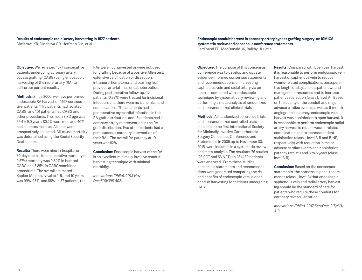#### **Results of endoscopic radial artery harvesting in 1577 patients**

Dimitrova KR, Dincheva GR, Hoffman DM, et al.

**Objective:** We reviewed 1577 consecutive patients undergoing coronary artery bypass grafting (CABG) using endoscopic harvesting of the radial artery (RA) to define our current results.

**Methods:** Since 2000, we have performed endoscopic RA harvest on 1577 consecutive patients; 1476 patients had isolated CABG, and 101 patients had CABG and other procedures. The mean ± SD age was 59.4 ± 9.0 years; 80.2% were men and 40% had diabetes mellitus. All data were prospectively collected. All-cause mortality was determined using the Social Security Death Index.

**Results:** There were nine in-hospital or 30-day deaths, for an operative mortality of 0.57%: mortality was 0.34% in isolated CABG and 3.85% in CABG/combined procedures. The overall estimated Kaplan-Meier survival at 1, 5, and 10 years was 99%, 95%, and 88%. In 37 patients, the

RAs were not harvested or were not used for grafting because of a positive Allen test, extensive calcification or dissection, intramural hematoma, and scarring from previous arterial lines or catheterization. During postoperative follow-up, five patients (0.32%) were treated for incisional infection, and there were no ischemic hand complications. Three patients had a perioperative myocardial infarction in the RA graft distribution, and 15 patients had a coronary artery reintervention in the RA graft distribution. Two other patients had a percutaneous coronary intervention of their RAs. The overall RA patency at 10 years was 82%.

**Conclusion:** Endoscopic harvest of the RA is an excellent minimally invasive conduit harvesting technique with minimal morbidity.

*Innovations (Phila). 2013 Nov-Dec;8(6):398-402.*

**Endoscopic conduit harvest in coronary artery bypass grafting surgery: an ISMICS systematic review and consensus conference statements** Ferdinand FD, MacDonald JK, Balkhy HH, et al.

**Objective:** The purpose of this consensus conference was to develop and update evidence-informed consensus statements and recommendations on harvesting saphenous vein and radial artery via an open as compared with endoscopic technique by systematically reviewing and performing a meta-analysis of randomized and nonrandomized clinical trials.

**Methods:** All randomized controlled trials and nonrandomized controlled trials included in the first International Society for Minimally Invasive Cardiothoracic Surgery Consensus Conference and Statements, in 2005 up to November 30, 2015, were included in a systematic review and meta-analysis. The resultant 76 studies (23 RCT and 53 NRT) on 281,469 patients were analyzed. From these studies consensus statements and recommendations were generated comparing the risk and benefits of endoscopic versus open conduit harvesting for patients undergoing CABG.

**Results:** Compared with open vein harvest, it is reasonable to perform endoscopic vein harvest of saphenous vein to reduce wound-related complications, postoperative length of stay, and outpatient wound management resources and to increase patient satisfaction (class I, level A). Based on the quality of the conduit and major adverse cardiac events as well as 6-month angiographic patency, endoscopic vein harvest was noninferior to open harvest. It is reasonable to perform endoscopic radial artery harvest to reduce wound-related complication and to increase patient satisfaction (class I, level B-R and B-NR, respectively) with reduction in major adverse cardiac events and noninferior patency rate at 1 and 3 to 5 years (class III, level B-R).

**Conclusion:** Based on the consensus statements, the consensus panel recommends (class I, level B) that endoscopic saphenous vein and radial artery harvesting should be the standard of care for patients who require these conduits for coronary revascularization.

*Innovations (Phila). 2017 Sep/Oct;12(5):301- 319.*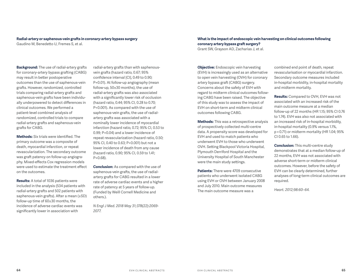#### **Radial-artery or saphenous-vein grafts in coronary-artery bypass surgery**

Gaudino M, Benedetto U, Fremes S, et al.

**Background:** The use of radial-artery grafts for coronary-artery bypass grafting (CABG) may result in better postoperative outcomes than the use of saphenous-vein grafts. However, randomized, controlled trials comparing radial-artery grafts and saphenous-vein grafts have been individually underpowered to detect differences in clinical outcomes. We performed a patient-level combined analysis of randomized, controlled trials to compare radial-artery grafts and saphenous-vein grafts for CABG.

**Methods:** Six trials were identified. The primary outcome was a composite of death, myocardial infarction, or repeat revascularization. The secondary outcome was graft patency on follow-up angiography. Mixed-effects Cox regression models were used to estimate the treatment effect on the outcomes.

**Results:** A total of 1036 patients were included in the analysis (534 patients with radial-artery grafts and 502 patients with saphenous-vein grafts). After a mean (±SD) follow-up time of 60±30 months, the incidence of adverse cardiac events was significantly lower in association with

radial-artery grafts than with saphenousvein grafts (hazard ratio, 0.67; 95% confidence interval [CI], 0.49 to 0.90; P=0.01). At follow-up angiography (mean follow-up, 50±30 months), the use of radial-artery grafts was also associated with a significantly lower risk of occlusion (hazard ratio, 0.44; 95% CI, 0.28 to 0.70; P<0.001). As compared with the use of saphenous-vein grafts, the use of radialartery grafts was associated with a nominally lower incidence of myocardial infarction (hazard ratio, 0.72; 95% CI, 0.53 to 0.99; P=0.04) and a lower incidence of repeat revascularization (hazard ratio, 0.50; 95% CI, 0.40 to 0.63; P<0.001) but not a lower incidence of death from any cause (hazard ratio, 0.90; 95% CI, 0.59 to 1.41; P=0.68).

**Conclusion:** As compared with the use of saphenous-vein grafts, the use of radialartery grafts for CABG resulted in a lower rate of adverse cardiac events and a higher rate of patency at 5 years of follow-up. (Funded by Weill Cornell Medicine and others.).

*N Engl J Med. 2018 May 31;378(22):2069- 2077.*

#### **What is the impact of endoscopic vein harvesting on clinical outcomes following coronary artery bypass graft surgery?**

Grant SW, Grayson AD, Zacharias J, et al.

**Objective:** Endoscopic vein harvesting (EVH) is increasingly used as an alternative to open vein harvesting (OVH) for coronary artery bypass graft (CABG) surgery. Concerns about the safety of EVH with regard to midterm clinical outcomes following CABG have been raised. The objective of this study was to assess the impact of EVH on short-term and midterm clinical outcomes following CABG.

**Methods:** This was a retrospective analysis of prospectively collected multi-centre data. A propensity score was developed for EVH and used to match patients who underwent EVH to those who underwent OVH. Setting Blackpool Victoria Hospital, Plymouth Derriford Hospital and the University Hospital of South Manchester were the main study settings.

**Patients:** There were 4709 consecutive patients who underwent isolated CABG using EVH or OVH between January 2008 and July 2010. Main outcome measures The main outcome measure was a

combined end point of death, repeat revascularisation or myocardial infarction. Secondary outcome measures included in-hospital morbidity, in-hospital mortality and midterm mortality.

**Results:** Compared to OVH, EVH was not associated with an increased risk of the main outcome measure at a median follow-up of 22 months (HR 1.15; 95% CI 0.76 to 1.74). EVH was also not associated with an increased risk of in-hospital morbidity, in-hospital mortality (0.9% versus 1.1%, p = 0.71) or midterm mortality (HR 1.04; 95% CI 0.65 to 1.66).

**Conclusion:** This multi-centre study demonstrates that at a median follow-up of 22 months, EVH was not associated with adverse short-term or midterm clinical outcomes. However, before the safety of EVH can be clearly determined, further analyses of long-term clinical outcomes are required.

*Heart. 2012;98:60–64.*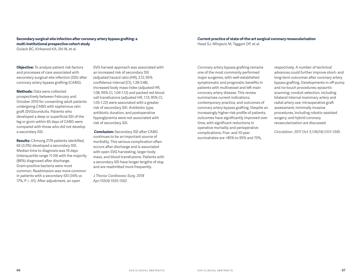#### **Secondary surgical-site infection after coronary artery bypass grafting: a multi-institutional prospective cohort study**

Gulack BC, Kirkwood KA, Shi W, et al.

**Objective:** To analyze patient risk factors and processes of care associated with secondary surgical-site infection (SSI) after coronary artery bypass grafting (CABG).

**Methods:** Data were collected prospectively between February and October 2010 for consenting adult patients undergoing CABG with saphenous vein graft (SVG)conduits. Patients who developed a deep or superficial SSI of the leg or groin within 65 days of CABG were compared with those who did not develop a secondary SSI.

**Results:** CAmong 2174 patients identified, 65 (3.0%) developed a secondary SSI. Median time to diagnosis was 16 days (interquartile range 11-29) with the majority (86%) diagnosed after discharge. Gram-positive bacteria were most common. Readmission was more common in patients with a secondary SSI (34% vs 17%, P < .01). After adjustment, an open

SVG harvest approach was associated with an increased risk of secondary SSI (adjusted hazard ratio [HR], 2.12; 95% confidence interval [CI], 1.28-3.48). Increased body mass index (adjusted HR, 1.08, 95% CI, 1.04-1.12) and packed red blood cell transfusions (adjusted HR, 1.13; 95% CI, 1.05-1.22) were associated with a greater risk of secondary SSI. Antibiotic type, antibiotic duration, and postoperative hyperglycemia were not associated with risk of secondary SSI.

**Conclusion:** Secondary SSI after CABG continues to be an important source of morbidity. This serious complication often occurs after discharge and is associated with open SVG harvesting, larger body mass, and blood transfusions. Patients with a secondary SSI have longer lengths of stay and are readmitted more frequently.

*J Thorac Cardiovasc Surg. 2018 Apr;155(4):1555-1562.*

#### **Current practice of state-of-the-art surgical coronary revascularization**

Head SJ, Milojevic M, Taggart DP, et al.

Coronary artery bypass grafting remains one of the most commonly performed major surgeries, with well-established symptomatic and prognostic benefits in patients with multivessel and left main coronary artery disease. This review summarizes current indications, contemporary practice, and outcomes of coronary artery bypass grafting. Despite an increasingly higher-risk profile of patients, outcomes have significantly improved over time, with significant reductions in operative mortality and perioperative complications. Five- and 10-year survivalrates are ≈85% to 95% and 75%,

respectively. A number of technical advances could further improve short- and long-term outcomes after coronary artery bypass grafting. Developments in off-pump and no-touch procedures; epiaortic scanning; conduit selection, including bilateral internal mammary artery and radial artery use; intraoperative graft assessment; minimally invasive procedures, including robotic-assisted surgery; and hybrid coronary revascularization are discussed.

*Circulation. 2017 Oct 3;136(14):1331-1345.*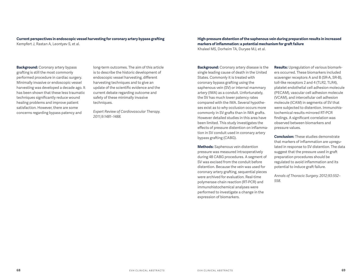#### **Current perspectives in endoscopic vessel harvesting for coronary artery bypass grafting** Kempfert J, Rastan A, Leontyev S, et al.

**Background:** Coronary artery bypass grafting is still the most commonly performed procedure in cardiac surgery. Minimally invasive or endoscopic vessel harvesting was developed a decade ago. It has been shown that these less traumatic techniques significantly reduce wound healing problems and improve patient satisfaction. However, there are some concerns regarding bypass patency and

long-term outcomes. The aim of this article is to describe the historic development of endoscopic vessel harvesting, different harvesting techniques and to give an update of the scientific evidence and the current debate regarding outcome and safety of these minimally invasive techniques.

*Expert Review of Cardiovascular Therapy. 2011;9:1481–1488.*

#### **High-pressure distention of the saphenous vein during preparation results in increased markers of inflammation: a potential mechanism for graft failure**

Khaleel MS, Dorheim TA, Duryee MJ, et al.

**Background:** Coronary artery disease is the single leading cause of death in the United States. Commonly it is treated with coronary bypass grafting using the saphenous vein (SV) or internal mammary artery (IMA) as a conduit. Unfortunately, the SV has much lower patency rates compared with the IMA. Several hypotheses exist as to why occlusion occurs more commonly in SV grafts than in IMA grafts. However detailed studies in this area have been limited. This study investigates the effects of pressure distention on inflammation in SV conduit used in coronary artery bypass grafting (CABG).

**Methods:** Saphenous vein distention pressure was measured intraoperatively during 48 CABG procedures. A segment of SV was excised from the conduit before distention. Because the vein was used for coronary artery grafting, sequential pieces were archived for evaluation. Real-time polymerase chain reaction (RT-PCR) and immunohistochemical analyses were performed to investigate a change in the expression of biomarkers.

**Results:** Upregulation of various biomarkers occurred. These biomarkers included scavenger receptors A and B (SR-A, SR-B), toll-like receptors 2 and 4 (TLR2, TLR4), platelet endothelial cell adhesion molecule (PECAM), vascular cell adhesion molecule (VCAM), and intercellular cell adhesion molecule (ICAM) in segments of SV that were subjected to distention. Immunohistochemical results mirrored RT-PCR findings. A significant correlation was observed between biomarkers and pressure values.

**Conclusion:** These studies demonstrate that markers of inflammation are upregulated in response to SV distention. The data suggest that the pressure used in graft preparation procedures should be regulated to avoid inflammation and its potential to induce graft failure.

*Annals of Thoracic Surgery. 2012;93:552– 558.*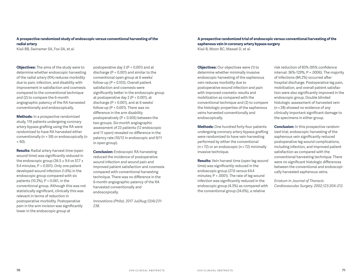#### **A prospective randomized study of endoscopic versus conventional harvesting of the radial artery**

Kiaii BB, Swinamer SA, Fox SA, et al.

**Objectives:** The aims of the study were to determine whether endoscopic harvesting of the radial artery (RA) reduces morbidity due to pain, infection, and disability with improvement in satisfaction and cosmesis compared to the conventional technique and (2) to compare the 6-month angiographic patency of the RA harvested conventionally and endoscopically.

**Methods:** In a prospective randomized study, 119 patients undergoing coronary artery bypass grafting using the RA were randomized to have RA harvested either conventionally (n = 59) or endoscopically (n  $= 60$ ).

**Results:** Radial artery harvest time (open wound time) was significantly reduced in the endoscopic group (36.5  $\pm$  9.4 vs 57.7  $\pm$ 9.4 minutes, P < 0.001). Only one patient developed wound infection (1.6%) in the endoscopic group compared with six patients (10.2%), P = 0.061, in the conventional group. Although this was not statistically significant, clinically this was relevant in terms of reduction in postoperative morbidity. Postoperative pain in the arm incision was significantly lower in the endoscopic group at

postoperative day 2 (P < 0.001) and at discharge (P < 0.001) and similar to the conventional open group at 6 weeks' follow-up (P = 0.103). Overall patient satisfaction and cosmesis were significantly better in the endoscopic group at postoperative day 2 (P < 0.001), at discharge (P < 0.001), and at 6 weeks' follow-up (P < 0.001). There was no difference in the arm disability postoperatively (P = 0.505) between the two groups. Six-month angiographic assessment of 23 patients (12 endoscopic and 11 open) revealed no difference in the patency rate (10/12 in endoscopic and 9/11 in open group).

**Conclusion:** Endoscopic RA harvesting reduced the incidence of postoperative wound infection and wound pain and improved patient satisfaction and cosmesis compared with conventional harvesting technique. There was no difference in the 6-month angiographic patency of the RA harvested conventionally and endoscopically.

*Innovations (Phila). 2017 Jul/Aug;12(4):231- 238.*

**A prospective randomized trial of endoscopic versus conventional harvesting of the saphenous vein in coronary artery bypass surgery** Kiaii B, Moon BC, Massel D, et al.

**Objectives:** Our objectives were (1) to determine whether minimally invasive endoscopic harvesting of the saphenous vein reduces morbidity due to postoperative wound infection and pain with improved cosmetic results and mobilization as compared with the conventional technique and (2) to compare the histologic properties of the saphenous veins harvested conventionally and endoscopically.

**Methods:** One hundred forty-four patients undergoing coronary artery bypass grafting were randomized to have vein harvesting performed by either the conventional (n = 72) or an endoscopic (n = 72) minimally invasive technique.

**Results:** Vein harvest time (open leg wound time) was significantly reduced in the endoscopic group (27.6 versus 64.4 minutes; P < .0001). The rate of leg wound infection was significantly reduced in the endoscopic group (4.3%) as compared with the conventional group (24.6%), a relative

risk reduction of 83% (95% confidence interval: 36%-129%; P = .0006). The majority of infections (84.2%) occurred after hospital discharge. Postoperative leg pain, mobilization, and overall patient satisfaction were also significantly improved in the endoscopic group. Double blinded histologic assessment of harvested vein (n = 28) showed no evidence of any clinically important significant damage to the specimens in either group.

**Conclusion:** In this prospective randomized trial, endoscopic harvesting of the saphenous vein significantly reduced postoperative leg wound complications, including infection, and improved patient satisfaction as compared with the conventional harvesting technique. There were no significant histologic differences between the conventional and endoscopically harvested saphenous veins.

*Erratum in Journal of Thoracic Cardiovascular Surgery. 2002;123:204–212.*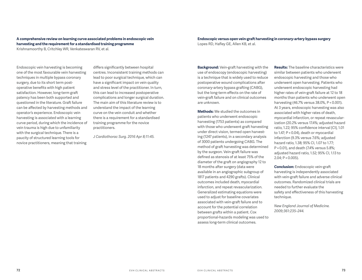#### **A comprehensive review on learning curve associated problems in endoscopic vein harvesting and the requirement for a standardised training programme**

Krishnamoorthy B, Critchley WR, Venkateswaran RV, et al.

Endoscopic vein harvesting is becoming one of the most favourable vein harvesting techniques in multiple bypass coronary surgery, due to its short term postoperative benefits with high patient satisfaction. However, long-term graft patency has been both supported and questioned in the literature. Graft failure can be affected by harvesting methods and operator's experience. Endoscopic vein harvesting is associated with a learning curve period, during which the incidence of vein trauma is high due to unfamiliarity with the surgical technique. There is a paucity of structured learning tools for novice practitioners, meaning that training

differs significantly between hospital centres. Inconsistent training methods can lead to poor surgical technique, which can have a significant impact on vein quality and stress level of the practitioner. In turn, this can lead to increased postoperative complications and longer surgical duration. The main aim of this literature review is to understand the impact of the learning curve on the vein conduit and whether there is a requirement for a standardised training programme for the novice practitioners.

*J Cardiothorac Surg. 2016 Apr 8;11:45.* 

#### **Endoscopic versus open vein-graft harvesting in coronary-artery bypass surgery** Lopes RD, Hafley GE, Allen KB, et al.

**Background:** Vein-graft harvesting with the use of endoscopy (endoscopic harvesting) is a technique that is widely used to reduce postoperative wound complications after coronary-artery bypass grafting (CABG), but the long-term effects on the rate of vein-graft failure and on clinical outcomes are unknown.

**Methods:** We studied the outcomes in patients who underwent endoscopic harvesting (1753 patients) as compared with those who underwent graft harvesting under direct vision, termed open harvesting (1247 patients), in a secondary analysis of 3000 patients undergoing CABG. The method of graft harvesting was determined by the surgeon. Vein-graft failure was defined as stenosis of at least 75% of the diameter of the graft on angiography 12 to 18 months after surgery (data were available in an angiographic subgroup of 1817 patients and 4290 grafts). Clinical outcomes included death, myocardial infarction, and repeat revascularization. Generalized estimating equations were used to adjust for baseline covariates associated with vein-graft failure and to account for the potential correlation between grafts within a patient. Cox proportional-hazards modeling was used to assess long-term clinical outcomes.

**Results:** The baseline characteristics were similar between patients who underwent endoscopic harvesting and those who underwent open harvesting. Patients who underwent endoscopic harvesting had higher rates of vein-graft failure at 12 to 18 months than patients who underwent open harvesting (46.7% versus 38.0%, P < 0.001). At 3 years, endoscopic harvesting was also associated with higher rates of death, myocardial infarction, or repeat revascularization (20.2% versus 17.4%; adjusted hazard ratio, 1.22; 95% confidence interval [CI], 1.01 to 1.47; P = 0.04), death or myocardial infarction (9.3% versus 7.6%; adjusted hazard ratio, 1.38; 95% CI, 1.07 to 1.77; P = 0.01), and death (7.4% versus 5.8%; adjusted hazard ratio, 1.52; 95% CI, 1.13 to  $2.04; P = 0.005$ ).

**Conclusion:** Endoscopic vein-graft harvesting is independently associated with vein-graft failure and adverse clinical outcomes. Randomized clinical trials are needed to further evaluate the safety and effectiveness of this harvesting technique.

*New England Journal of Medicine. 2009;361:235–244.*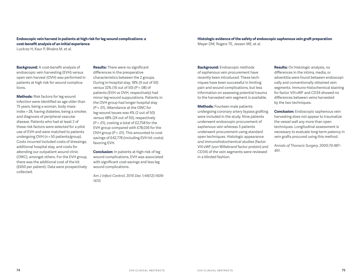#### **Endoscopic vein harvest in patients at high risk for leg wound complications: a cost-benefit analysis of an initial experience**

Luckraz H, Kaur P, Bhabra M, et al.

**Background:** A cost-benefit analysis of endoscopic vein harvesting (EVH) versus open vein harvest (OVH) was performed in patients at high risk for wound complications.

**Methods:** Risk factors for leg wound infection were identified as age older than 75 years, being a woman, body mass index > 28, having diabetes, being a smoker, and diagnosis of peripheral vascular disease. Patients who had at least 2 of these risk factors were selected for a pilot use of EVH and were matched to patients undergoing OVH (n = 50 patients/group). Costs incurred included costs of dressings, additional hospital stay, and costs for attending our outpatient wound clinic (OWC), amongst others. For the EVH group, there was the additional cost of the kit (£650 per patient). Data were prospectively collected.

**Results:** There were no significant differences in the preoperative characteristics between the 2 groups. During in-hospital stay, 18% (9 out of 50) versus 32% (16 out of 50) (P = .08) of patients (EVH vs OVH, respectively) had minor leg-wound suppurations. Patients in the OVH group had longer hospital stay (P = .01). Attendance at the OWC for leg-wound issues was 4% (2 out of 50) versus 48% (24 out of 50), respectively (P < .01), costing a total of £2,758 for the EVH group compared with £78,036 for the OVH group (P < .01). This amounted to cost savings of £42,778 (including EVH kit costs) favoring EVH.

**Conclusion:** In patients at high-risk of leg wound complications, EVH was associated with significant cost-savings and less leg wound complications.

*Am J Infect Control. 2016 Dec 1;44(12):1606- 1610.*

**Histologic evidence of the safety of endoscopic saphenous vein graft preparation** Meyer DM, Rogers TE, Jessen ME, et al.

**Background:** Endoscopic methods of saphenous vein procurement have recently been introduced. These techniques have been successful in limiting pain and wound complications, but less information on assessing potential trauma to the harvested vein segment is available.

**Methods:** Fourteen male patients undergoing coronary artery bypass grafting were included in the study. Nine patients underwent endoscopic procurement of saphenous vein whereas 5 patients underwent procurement using standard open techniques. Histologic appearance and immunohistochemical studies (factor VIII:vWF [von Willebrand factor protein] and CD34) of the vein segments were reviewed in a blinded fashion.

**Results:** On histologic analysis, no differences in the intima, media, or adventitia were found between endoscopically and conventionally obtained vein segments. Immuno-histochemical staining for factor VIII:vWF and CD34 showed no differences between veins harvested by the two techniques.

**Conclusion:** Endoscopic saphenous vein harvesting does not appear to traumatize the vessel wall any more than open techniques. Longitudinal assessment is necessary to evaluate long-term patency in vein grafts procured using this method.

*Annals of Thoracic Surgery. 2000;70:487– 491.*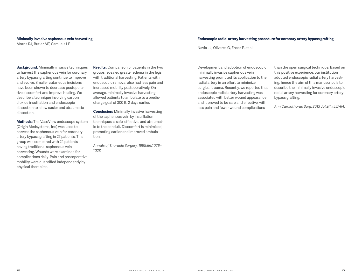#### **Minimally invasive saphenous vein harvesting**

Morris RJ, Butler MT, Samuels LE

#### **Endoscopic radial artery harvesting procedure for coronary artery bypass grafting**

Navia JL, Olivares G, Ehasz P, et al.

Development and adoption of endoscopic minimally invasive saphenous vein harvesting prompted its application to the radial artery in an effort to minimize surgical trauma. Recently, we reported that endoscopic radial artery harvesting was associated with better wound appearance and it proved to be safe and effective, with less pain and fewer wound complications

than the open surgical technique. Based on this positive experience, our institution adopted endoscopic radial artery harvesting, hence the aim of this manuscript is to describe the minimally invasive endoscopic radial artery harvesting for coronary artery bypass grafting.

*Ann Cardiothorac Surg. 2013 Jul;2(4):557-64.*

**Background:** Minimally invasive techniques to harvest the saphenous vein for coronary artery bypass grafting continue to improve and evolve. Smaller cutaneous incisions have been shown to decrease postoperative discomfort and improve healing. We describe a technique involving carbon dioxide insufflation and endoscopic dissection to allow easier and atraumatic dissection.

**Methods:** The VasoView endoscope system (Origin Medsystems, Inc) was used to harvest the saphenous vein for coronary artery bypass grafting in 27 patients. This group was compared with 24 patients having traditional saphenous vein harvesting. Wounds were examined for complications daily. Pain and postoperative mobility were quantified independently by physical therapists.

**Results:** Comparison of patients in the two groups revealed greater edema in the legs with traditional harvesting. Patients with endoscopic removal also had less pain and increased mobility postoperatively. On average, minimally invasive harvesting allowed patients to ambulate to a predischarge goal of 300 ft. 2 days earlier.

**Conclusion:** Minimally invasive harvesting of the saphenous vein by insufflation techniques is safe, effective, and atraumatic to the conduit. Discomfort is minimized, promoting earlier and improved ambulation.

*Annals of Thoracic Surgery. 1998;66:1026– 1028.*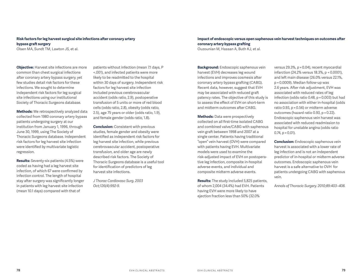#### **Risk factors for leg harvest surgical site infections after coronary artery bypass graft surgery**

Olsen MA, Sundt TM, Lawton JS, et al.

**Objective:** Harvest site infections are more common than chest surgical infections after coronary artery bypass surgery, yet few studies detail risk factors for these infections. We sought to determine independent risk factors for leg surgical site infections using our institutional Society of Thoracic Surgeons database.

**Methods:** We retrospectively analyzed data collected from 1980 coronary artery bypass patients undergoing surgery at our institution from January 1, 1996, through June 30, 1999, using The Society of Thoracic Surgeons database. Independent risk factors for leg harvest site infection were identified by multivariate logistic regression.

**Results:** Seventy-six patients (4.5%) were coded as having had a leg harvest site infection, of which 67 were confirmed by infection control. The length of hospital stay after surgery was significantly longer in patients with leg harvest site infection (mean 10.1 days) compared with that of

patients without infection (mean 7.1 days, P <.001), and infected patients were more likely to be readmitted to the hospital within 30 days of surgery. Independent risk factors for leg harvest site infection included previous cerebrovascular accident (odds ratio, 2.9), postoperative transfusion of 5 units or more of red blood cells (odds ratio, 2.8), obesity (odds ratio, 2.5), age 75 years or older (odds ratio, 1.9), and female gender (odds ratio, 1.8).

**Conclusion:** Consistent with previous studies, female gender and obesity were identified as independent risk factors for leg harvest site infection, while previous cerebrovascular accident, postoperative transfusion, and older age are newly described risk factors. The Society of Thoracic Surgeons database is a useful tool for identification of predictors of leg harvest site infections.

*J Thorac Cardiovasc Surg. 2003 Oct;126(4):992-9.*

#### **Impact of endoscopic versus open saphenous vein harvest techniques on outcomes after coronary artery bypass grafting**

Ouzounian M, Hassan A, Buth KJ, et al.

**Background:** Endoscopic saphenous vein harvest (EVH) decreases leg wound infections and improves cosmesis after coronary artery bypass grafting (CABG). Recent data, however, suggest that EVH may be associated with reduced graft patency rates. The objective of this study is to assess the effect of EVH on short-term and midterm outcomes after CABG.

**Methods:** Data were prospectively collected on all first-time isolated CABG and combined valve/CABG with saphenous vein graft between 1998 and 2007 at a single center. Patients having traditional "open" vein harvest (OVH) were compared with patients having EVH. Multivariate models were used to examine the risk-adjusted impact of EVH on postoperative leg infection, composite in-hospital adverse events, and individual and composite midterm adverse events.

**Results:** The study included 5,825 patients, of whom 2,004 (34.4%) had EVH. Patients having EVH were more likely to have ejection fraction less than 50% (32.0%

versus 29.3%, p = 0.04), recent myocardial infarction (24.2% versus 18.3%, p < 0.0001), and left main disease (26.0% versus 22.1%, p = 0.0009). Median follow-up was 2.6 years. After risk adjustment, EVH was associated with reduced rates of leg infection (odds ratio 0.48, p = 0.003) but had no association with either in-hospital (odds ratio 0.93, p = 0.56) or midterm adverse outcomes (hazard ratio 0.93, p = 0.22). Endoscopic saphenous vein harvest was associated with reduced readmission to hospital for unstable angina (odds ratio 0.74, p = 0.01).

**Conclusion:** Endoscopic saphenous vein harvest is associated with a lower rate of leg infection and is not an independent predictor of in-hospital or midterm adverse outcomes. Endoscopic saphenous vein harvest is a safe alternative to OVH for patients undergoing CABG with saphenous vein.

*Annals of Thoracic Surgery. 2010;89:403–408.*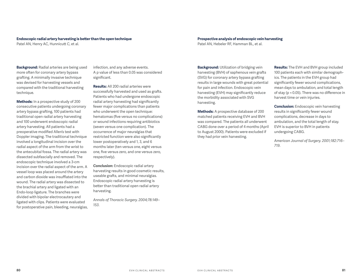#### **Endoscopic radial artery harvesting is better than the open technique**

Patel AN, Henry AC, Hunnicutt C, et al.

**Background:** Radial arteries are being used more often for coronary artery bypass grafting. A minimally invasive technique was devised for harvesting vessels and compared with the traditional harvesting technique.

**Methods:** In a prospective study of 200 consecutive patients undergoing coronary artery bypass grafting, 100 patients had traditional open radial artery harvesting and 100 underwent endoscopic radial artery harvesting. All patients had a preoperative modified Allen's test with Doppler imaging. The traditional technique involved a longitudinal incision over the radial aspect of the arm from the wrist to the antecubital fossa. The radial artery was dissected subfascially and removed. The endoscopic technique involved a 3-cm incision over the radial aspect of the arm. A vessel loop was placed around the artery and carbon dioxide was insufflated into the wound. The radial artery was dissected to the brachial artery and ligated with an Endo-loop ligature. The branches were divided with bipolar electrocautery and ligated with clips. Patients were evaluated for postoperative pain, bleeding, neuralgias, infection, and any adverse events. A p value of less than 0.05 was considered significant.

**Results:** All 200 radial arteries were successfully harvested and used as grafts. Patients who had undergone endoscopic radial artery harvesting had significantly fewer major complications than patients who underwent the open technique: hematomas (five versus no complications) or wound infections requiring antibiotics (seven versus one complication). The occurrence of major neuralgias that restricted function were also significantly lower postoperatively and 1, 3, and 6 months later (ten versus one, eight versus one, five versus zero, and one versus zero, respectively).

**Conclusion:** Endoscopic radial artery harvesting results in good cosmetic results, useable grafts, and minimal neuralgias. Endoscopic radial artery harvesting is better than traditional open radial artery harvesting.

*Annals of Thoracic Surgery. 2004;78:149– 153.*

#### **Prospective analysis of endoscopic vein harvesting**

Patel AN, Hebeler RF, Hamman BL, et al.

**Background:** Utilization of bridging vein harvesting (BVH) of saphenous vein grafts (SVG) for coronary artery bypass grafting results in large wounds with great potential for pain and infection. Endoscopic vein harvesting (EVH) may significantly reduce the morbidity associated with SVG harvesting.

**Methods:** A prospective database of 200 matched patients receiving EVH and BVH was compared. The patients all underwent CABG done over a period of 4 months (April to August 2000). Patients were excluded if they had prior vein harvesting.

**Results:** The EVH and BVH group included 100 patients each with similar demographics. The patients in the EVH group had significantly fewer wound complications, mean days to ambulation, and total length of stay (p < 0.05). There was no difference in harvest time or vein injuries.

**Conclusion:** Endoscopic vein harvesting results in significantly fewer wound complications, decrease in days to ambulation, and the total length of stay. EVH is superior to BVH in patients undergoing CABG.

*American Journal of Surgery. 2001;182:716– 719.*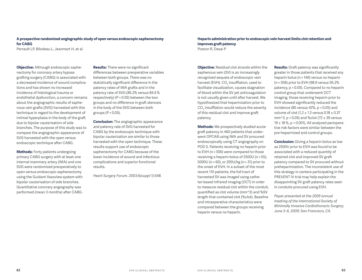#### **A prospective randomized angiographic study of open versus endoscopic saphenectomy for CABG**

Perrault LP, Bilodeau L, Jeanmart H, et al.

**Objective:** Although endoscopic saphenectomy for coronary artery bypass grafting surgery (CABG) is associated with a decreased incidence of wound complications and has shown no increased incidence of histological trauma or endothelial dysfunction, a concern remains about the angiographic results of saphenous vein grafts (SVG) harvested with this technique in regard to the development of intimal hyperplasia in the body of the graft due to bipolar cauterisation of side branches. The purpose of this study was to compare the angiographic appearance of SVG harvested with the open versus endoscopic technique after CABG.

**Methods:** Forty patients undergoing primary CABG surgery with at least one internal mammary artery (IMA) and one SVG were randomized preoperatively to open versus endoscopic saphenectomy using the Guidant Vasoview system with bipolar cauterisation of side branches. Quantitative coronary angiography was performed (mean 3 months) after CABG.

**Results:** There were no significant differences between preoperative variables between both groups. There was no statistically significant difference in the patency rates of IMA grafts and in the patency rate of SVG (85.2% versus 84.4 % respectively) (P < 0.05) between the two groups and no difference in graft stenosis in the body of the SVG between both groups (P < 0.05).

**Conclusion:** The angiographic appearance and patency rate of SVG harvested for CABG by the endoscopic technique with bipolar cauterization are similar to those harvested with the open technique. These results support use of endoscopic saphenectomy for CABG because of the lower incidence of wound and infectious complications and superior functional results.

*Heart Surgery Forum. 2003;6(suppl 1):S48.*

#### **Heparin administration prior to endoscopic vein harvest limits clot retention and improves graft patency** Poston R, Desai P

**Objective:** Residual clot strands within the saphenous vein (SV) is an increasingly recognized sequela of endoscopic vein harvest (EVH). CO $_{\rm 2}$  insufflation, used to facilitate visualization, causes stagnation of blood within the SV yet anticoagulation is not usually given until after harvest. We hypothesized that heparinization prior to  $\mathrm{CO}_2$  insufflation would reduce the severity of this residual clot and improve graft patency.

**Methods:** We prospectively studied acute graft patency in 460 patients that underwent OPCAB using IMA and SV procured endoscopically using CT angiography on POD 5. Patients receiving no heparin prior to EVH (n = 306) were compared to those receiving a heparin bolus of 2500U (n = 55), 5000U (n = 60), or 200U/kg (n = 31) prior to the onset of EVH. In a subset of the most recent 110 patients, the full tract of harvested SV was imaged using catheter-based infrared imaging (OCT) in order to measure residual clot within the conduit, quantified as clot volume (mm^3) and %SV length that contained clot (%clot). Baseline and intraoperative characteristics were compared between the groups receiving heparin versus no heparin.

**Results:** Graft patency was significantly greater in those patients that received any heparin bolus (n = 146) versus no heparin (n = 306) prior to EVH (98.9 versus 95.2% patency, p < 0.05). Compared to no heparin control group that underwent OCT imaging, those receiving heparin prior to EVH showed significantly reduced the incidence (85 versus 42%,  $p < 0.05$ ) and volume of clot (1.2 ± 1.3 versus 0.18 ± 0.37 mm^3, p < 0.05) and %clot (72 ± 39 versus 19 ± 18 %, p < 0.001). All analyzed perioperative risk factors were similar between the pre-heparinized and control groups.

**Conclusion:** Giving a heparin bolus as low as 2500U prior to EVH was found to be associated with a reduced quantity of retained clot and improved SV graft patency compared to SV procured without preheparinization. The inconsistent use of this strategy in centers participating in the PREVENT IV trial may help explain the disappointing SV graft patency rates seen in conduits procured using EVH.

*Paper presented at the 2009 annual meeting of the International Society of Minimally Invasive Cardiothoracic Surgery; June 3–6, 2009; San Francisco, CA.*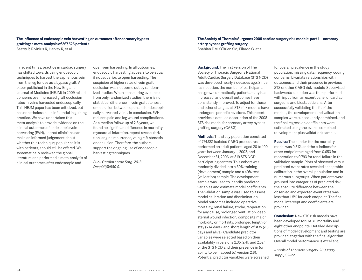#### **The influence of endoscopic vein harvesting on outcomes after coronary bypass grafting: a meta-analysis of 267,525 patients**

Sastry P, Rivinius R, Harvey R, et al.

In recent times, practice in cardiac surgery has shifted towards using endoscopic techniques to harvest the saphenous vein from the leg for use as a bypass graft. A paper published in the New England Journal of Medicine (NEJM) in 2009 raised concerns over increased graft occlusion rates in veins harvested endoscopically. This NEJM paper has been criticized, but has nonetheless been influential in guiding practice. We have undertaken this meta-analysis to provide evidence on the clinical outcomes of endoscopic vein harvesting (EVH), so that clinicians can make an informed judgement about whether this technique, popular as it is with patients, should still be offered. We systematically reviewed the global literature and performed a meta-analysis of clinical outcomes after endoscopic and

open vein harvesting. In all outcomes, endoscopic harvesting appears to be equal, if not superior, to open harvesting. The suspicion of higher rates of vein graft occlusion was not borne out by randomized studies. When considering evidence from only randomized studies, there is no statistical difference in vein graft stenosis or occlusion between open and endoscopically harvested veins. In conclusion, EVH reduces pain and leg wound complications. At a median follow-up of 2.6 years, we found no significant difference in mortality, myocardial infarction, repeat revascularization, angina recurrence, vein graft stenosis or occlusion. Therefore, the authors support the ongoing use of endoscopic harvesting techniques.

*Eur J Cardiothorac Surg. 2013 Dec;44(6):980-9.*

#### **The Society of Thoracic Surgeons 2008 cardiac surgery risk models: part 1—coronary artery bypass grafting surgery**

Shahian DM, O'Brien SM, Filardo G, et al.

**Background:** The first version of The Society of Thoracic Surgeons National Adult Cardiac Surgery Database (STS NCD) was developed nearly 2 decades ago. Since its inception, the number of participants has grown dramatically, patient acuity has increased, and overall outcomes have consistently improved. To adjust for these and other changes, all STS risk models have undergone periodic revisions. This report provides a detailed description of the 2008 STS risk model for coronary artery bypass grafting surgery (CABG).

**Methods:** The study population consisted of 774,881 isolated CABG procedures performed on adult patients aged 20 to 100 years between January 1, 2002, and December 31, 2006, at 819 STS NCD participating centers. This cohort was randomly divided into a 60% training (development) sample and a 40% test (validation) sample. The development sample was used to identify predictor variables and estimate model coefficients. The validation sample was used to assess model calibration and discrimination. Model outcomes included operative mortality, renal failure, stroke, reoperation for any cause, prolonged ventilation, deep sternal wound infection, composite major morbidity or mortality, prolonged length of stay (> 14 days), and short length of stay (< 6 days and alive). Candidate predictor variables were selected based on their availability in versions 2.35, 2.41, and 2.52.1 of the STS NCD and their presence in (or ability to be mapped to) version 2.61. Potential predictor variables were screened for overall prevalence in the study population, missing data frequency, coding concerns, bivariate relationships with outcomes, and their presence in previous STS or other CABG risk models. Supervised backwards selection was then performed with input from an expert panel of cardiac surgeons and biostatisticians. After successfully validating the fit of the models, the development and validation samples were subsequently combined, and the final regression coefficients were estimated using the overall combined (development plus validation) sample.

**Results:** The c-index for the mortality model was 0.812, and the c-indices for other endpoints ranged from 0.653 for reoperation to 0.793 for renal failure in the validation sample. Plots of observed versus predicted event rates revealed acceptable calibration in the overall population and in numerous subgroups. When patients were grouped into categories of predicted risk, the absolute difference between the observed and expected event rates was less than 1.5% for each endpoint. The final model intercept and coefficients are provided.

**Conclusion:** New STS risk models have been developed for CABG mortality and eight other endpoints. Detailed descriptions of model development and testing are provided, together with the final algorithm. Overall model performance is excellent.

*Annals of Thoracic Surgery. 2009;88(1 suppl):S2–22*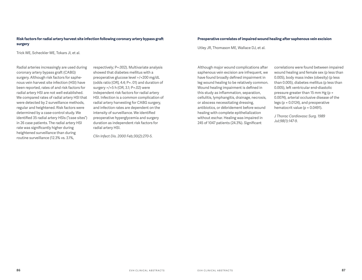#### **Risk factors for radial artery harvest site infection following coronary artery bypass graft surgery**

Trick WE, Scheckler WE, Tokars JI, et al.

Radial arteries increasingly are used during coronary artery bypass graft (CABG) surgery. Although risk factors for saphenous vein harvest site infection (HSI) have been reported, rates of and risk factors for radial artery HSI are not well established. We compared rates of radial artery HSI that were detected by 2 surveillance methods, regular and heightened. Risk factors were determined by a case-control study. We identified 35 radial artery HSIs ("case sites") in 26 case patients. The radial artery HSI rate was significantly higher during heightened surveillance than during routine surveillance (12.3% vs. 3.1%,

respectively; P=.002). Multivariate analysis showed that diabetes mellitus with a preoperative glucose level >/=200 mg/dL (odds ratio [OR], 4.4; P=. 01) and duration of surgery >/=5 h (OR, 3.1; P=.02) were independent risk factors for radial artery HSI. Infection is a common complication of radial artery harvesting for CABG surgery, and infection rates are dependent on the intensity of surveillance. We identified preoperative hyperglycemia and surgery duration as independent risk factors for radial artery HSI.

*Clin Infect Dis. 2000 Feb;30(2):270-5.*

#### **Preoperative correlates of impaired wound healing after saphenous vein excision**

Utley JR, Thomason ME, Wallace DJ, et al.

Although major wound complications after saphenous vein excision are infrequent, we have found broadly defined impairment in leg wound healing to be relatively common. Wound healing impairment is defined in this study as inflammation, separation, cellulitis, lymphangitis, drainage, necrosis, or abscess necessitating dressing, antibiotics, or débridement before wound healing with complete epithelialization without eschar. Healing was impaired in 245 of 1047 patients (24.3%). Significant

correlations were found between impaired wound healing and female sex (p less than 0.005), body mass index (obesity) (p less than 0.005), diabetes mellitus (p less than 0.005), left ventricular end-diastolic pressure greater than 15 mm Hg (p = 0.0074), arterial occlusive disease of the legs (p = 0.0124), and preoperative hematocrit value (p = 0.0491).

*J Thorac Cardiovasc Surg. 1989 Jul;98(1):147-9.*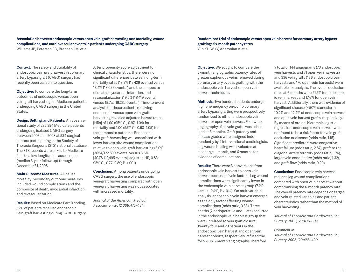#### **Association between endoscopic versus open vein-graft harvesting and mortality, wound complications, and cardiovascular events in patients undergoing CABG surgery** Williams JB, Peterson ED, Brennan JM, et al.

**Context:** The safety and durability of endoscopic vein graft harvest in coronary artery bypass graft (CABG) surgery has recently been called into question.

**Objective:** To compare the long-term outcomes of endoscopic versus open vein-graft harvesting for Medicare patients undergoing CABG surgery in the United States.

**Design, Setting, and Patients:** An observational study of 235,394 Medicare patients undergoing isolated CABG surgery between 2003 and 2008 at 934 surgical centers participating in the Society of Thoracic Surgeons (STS) national database. The STS records were linked to Medicare files to allow longitudinal assessment (median 3-year follow-up) through December 31, 2008.

**Main Outcome Measures:** All-cause mortality. Secondary outcome measures included wound complications and the composite of death, myocardial infarction, and revascularization.

**Results:** Based on Medicare Part B coding, 52% of patients received endoscopic vein-graft harvesting during CABG surgery. After propensity score adjustment for clinical characteristics, there were no significant differences between long-term mortality rates (13.2% [12,429 events] versus 13.4% [13,096 events]) and the composite of death, myocardial infarction, and revascularization (19.5% [18,419 events] versus 19.7% [19,232 events]). Time-to-event analysis for those patients receiving endoscopic versus open vein-graft harvesting revealed adjusted hazard ratios [HRs] of 1.00 (95% CI, 0.97–1.04) for mortality and 1.00 (95% CI, 0.98–1.05) for the composite outcome. Endoscopic vein-graft harvesting was associated with lower harvest site wound complications relative to open vein-graft harvesting (3.0% [3654/122,899 events] versus 3.6% [4047/112,495 events]; adjusted HR, 0.83; 95% CI, 0.77–0.89; P < .001).

**Conclusion:** Among patients undergoing CABG surgery, the use of endoscopic vein-graft harvesting compared with open vein-graft harvesting was not associated with increased mortality.

*Journal of the American Medical Association. 2012;308:475–484.*

#### **Randomized trial of endoscopic versus open vein harvest for coronary artery bypass grafting: six-month patency rates**

Yun KL, Wu Y, Aharonian V, et al.

**Objective:** We sought to compare the 6-month angiographic patency rates of greater saphenous veins removed during coronary artery bypass grafting with the endoscopic vein harvest or open vein harvest techniques.

**Methods:** Two hundred patients undergoing nonemergency on-pump coronary artery bypass grafting were prospectively randomized to either endoscopic vein harvest or open vein harvest. Follow-up angiography of all vein grafts was scheduled at 6 months. Graft patency and disease grades were assigned independently by 2 interventional cardiologists. Leg wound healing was evaluated at discharge, 1 month, and 6 months for evidence of complications.

**Results:** There were 3 conversions from endoscopic vein harvest to open vein harvest because of vein factors. Leg wound complications were significantly lower in the endoscopic vein harvest group (7.4% versus 19.4%, P = .014). On multivariable analysis, endoscopic vein harvest emerged as the only factor affecting wound complications (odds ratio, 0.33). Three deaths (2 perioperative and 1 late) occurred in the endoscopic vein harvest group that were unrelated to vein graft closure. Twenty-four and 29 patients in the endoscopic vein harvest and open vein harvest cohorts, respectively, refused the follow-up 6-month angiography. Therefore

a total of 144 angiograms (73 endoscopic vein harvests and 71 open vein harvests) and 336 vein grafts (166 endoscopic vein harvests and 170 open vein harvests) were available for analysis. The overall occlusion rates at 6 months were 21.7% for endoscopic vein harvest and 17.6% for open vein harvest. Additionally, there was evidence of significant disease (> 50% stenosis) in 10.2% and 12.4% of endoscopic vein harvest and open vein harvest grafts, respectively. By means of ordinal hierarchic logistic regression, endoscopic vein harvest was not found to be a risk factor for vein graft occlusion or disease (odds ratio, 1.15). Significant predictors were congestive heart failure (odds ratio, 2.87), graft to the diagonal artery territory (odds ratio, 1.76), larger vein conduit size (odds ratio, 1.32), and graft flow (odds ratio, 0.90).

**Conclusion:** Endoscopic vein harvest reduces leg wound complications compared with open vein harvest without compromising the 6-month patency rate. The overall patency rate depends on target and vein-related variables and patient characteristics rather than the method of vein harvesting.

*Journal of Thoracic and Cardiovascular Surgery. 2005;129:496–503.* 

#### *Comment in:*

*Journal of Thoracic and Cardiovascular Surgery. 2005;129:488–490.*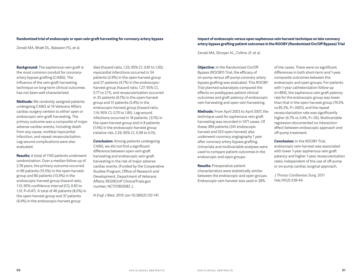#### **Randomized trial of endoscopic or open vein-graft harvesting for coronary-artery bypass**

Zenati MA, Bhatt DL, Bakaeen FG, et al.

**Background:** The saphenous-vein graft is the most common conduit for coronaryartery bypass grafting (CABG). The influence of the vein-graft harvesting technique on long-term clinical outcomes has not been well characterized.

**Methods:** We randomly assigned patients undergoing CABG at 16 Veterans Affairs cardiac surgery centers to either open or endoscopic vein-graft harvesting. The primary outcome was a composite of major adverse cardiac events, including death from any cause, nonfatal myocardial infarction, and repeat revascularization. Leg-wound complications were also evaluated.

**Results:** A total of 1150 patients underwent randomization. Over a median follow-up of 2.78 years, the primary outcome occurred in 89 patients (15.5%) in the open-harvest group and 80 patients (13.9%) in the endoscopic-harvest group (hazard ratio, 1.12; 95% confidence interval [CI], 0.83 to 1.51; P=0.47). A total of 46 patients (8.0%) in the open-harvest group and 37 patients (6.4%) in the endoscopic-harvest group

died (hazard ratio, 1.25; 95% CI, 0.81 to 1.92); myocardial infarctions occurred in 34 patients (5.9%) in the open-harvest group and 27 patients (4.7%) in the endoscopicharvest group (hazard ratio, 1.27; 95% CI, 0.77 to 2.11), and revascularization occurred in 35 patients (6.1%) in the open-harvest group and 31 patients (5.4%) in the endoscopic-harvest group (hazard ratio, 1.14; 95% CI, 0.70 to 1.85). Leg-wound infections occurred in 18 patients (3.1%) in the open-harvest group and in 8 patients (1.4%) in the endoscopic-harvest group (relative risk, 2.26; 95% CI, 0.99 to 5.15).

**Conclusion:** Among patients undergoing CABG, we did not find a significant difference between open vein-graft harvesting and endoscopic vein-graft harvesting in the risk of major adverse cardiac events. (Funded by the Cooperative Studies Program, Office of Research and Development, Department of Veterans Affairs; REGROUP ClinicalTrials.gov number, NCT01850082 .).

*N Engl J Med. 2019 Jan 10;380(2):132-141.*

#### **Impact of endoscopic versus open saphenous vein harvest technique on late coronary artery bypass grafting patient outcomes in the ROOBY (Randomized On/Off Bypass) Trial**

Zenati MA, Shroyer AL, Collins JF, et al.

**Objective:** In the Randomized On/Off Bypass (ROOBY) Trial, the efficacy of on-pump versus off-pump coronary artery bypass grafting was evaluated. This ROOBY Trial planned subanalysis compared the effects on postbypass patient clinical outcomes and graft patency of endoscopic vein harvesting and open vein harvesting.

**Methods:** From April 2003 to April 2007, the technique used for saphenous vein graft harvesting was recorded in 1471 cases. Of these, 894 patients (341 endoscopic harvest and 553 open harvest) also underwent coronary angiography 1 year after coronary artery bypass grafting. Univariate and multivariable analyses were used to compare patient outcomes in the endoscopic and open groups.

**Results:** Preoperative patient characteristics were statistically similar between the endoscopic and open groups. Endoscopic vein harvest was used in 38%

of the cases. There were no significant differences in both short-term and 1-year composite outcomes between the endoscopic and open groups. For patients with 1-year catheterization follow-up (n=894), the saphenous vein graft patency rate for the endoscopic group was lower than that in the open harvest group (74.5% vs 85.2%, P<.0001), and the repeat revascularization rate was significantly higher (6.7% vs 3.4%, P<.05). Multivariable regression documented no interaction effect between endoscopic approach and off-pump treatment.

**Conclusion:** In the ROOBY Trial, endoscopic vein harvest was associated with lower 1-year saphenous vein graft patency and higher 1-year revascularization rates, independent of the use of off-pump or on-pump cardiac surgical approach.

*J Thorac Cardiovasc Surg. 2011 Feb;141(2):338-44.*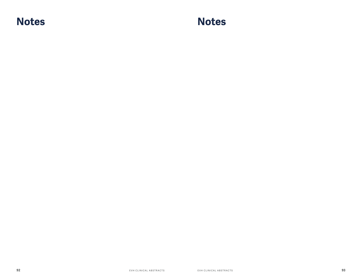**Notes Notes**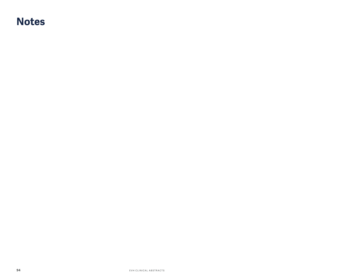### **Notes**